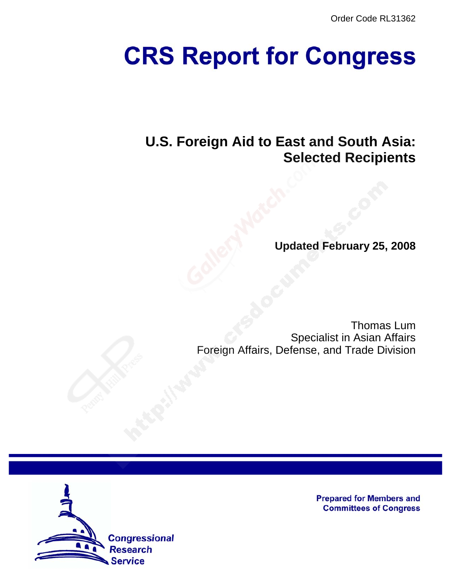Order Code RL31362

# **CRS Report for Congress**

# **U.S. Foreign Aid to East and South Asia: Selected Recipients**

**Updated February 25, 2008**

Thomas Lum Specialist in Asian Affairs Foreign Affairs, Defense, and Trade Division



**Prepared for Members and Committees of Congress**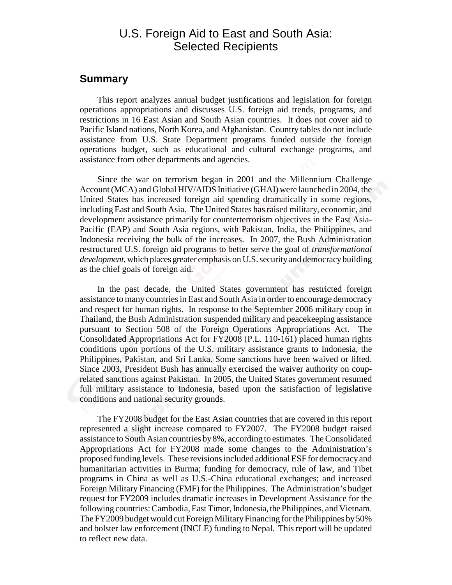## U.S. Foreign Aid to East and South Asia: Selected Recipients

#### **Summary**

This report analyzes annual budget justifications and legislation for foreign operations appropriations and discusses U.S. foreign aid trends, programs, and restrictions in 16 East Asian and South Asian countries. It does not cover aid to Pacific Island nations, North Korea, and Afghanistan. Country tables do not include assistance from U.S. State Department programs funded outside the foreign operations budget, such as educational and cultural exchange programs, and assistance from other departments and agencies.

Since the war on terrorism began in 2001 and the Millennium Challenge Account (MCA) and Global HIV/AIDS Initiative (GHAI) were launched in 2004, the United States has increased foreign aid spending dramatically in some regions, including East and South Asia. The United States has raised military, economic, and development assistance primarily for counterterrorism objectives in the East Asia-Pacific (EAP) and South Asia regions, with Pakistan, India, the Philippines, and Indonesia receiving the bulk of the increases. In 2007, the Bush Administration restructured U.S. foreign aid programs to better serve the goal of *transformational development*, which places greater emphasis on U.S. security and democracy building as the chief goals of foreign aid.

In the past decade, the United States government has restricted foreign assistance to many countries in East and South Asia in order to encourage democracy and respect for human rights. In response to the September 2006 military coup in Thailand, the Bush Administration suspended military and peacekeeping assistance pursuant to Section 508 of the Foreign Operations Appropriations Act. The Consolidated Appropriations Act for FY2008 (P.L. 110-161) placed human rights conditions upon portions of the U.S. military assistance grants to Indonesia, the Philippines, Pakistan, and Sri Lanka. Some sanctions have been waived or lifted. Since 2003, President Bush has annually exercised the waiver authority on couprelated sanctions against Pakistan. In 2005, the United States government resumed full military assistance to Indonesia, based upon the satisfaction of legislative conditions and national security grounds.

The FY2008 budget for the East Asian countries that are covered in this report represented a slight increase compared to FY2007. The FY2008 budget raised assistance to South Asian countries by 8%, according to estimates. The Consolidated Appropriations Act for FY2008 made some changes to the Administration's proposed funding levels. These revisions included additional ESF for democracy and humanitarian activities in Burma; funding for democracy, rule of law, and Tibet programs in China as well as U.S.-China educational exchanges; and increased Foreign Military Financing (FMF) for the Philippines. The Administration's budget request for FY2009 includes dramatic increases in Development Assistance for the following countries: Cambodia, East Timor, Indonesia, the Philippines, and Vietnam. The FY2009 budget would cut Foreign Military Financing for the Philippines by 50% and bolster law enforcement (INCLE) funding to Nepal. This report will be updated to reflect new data.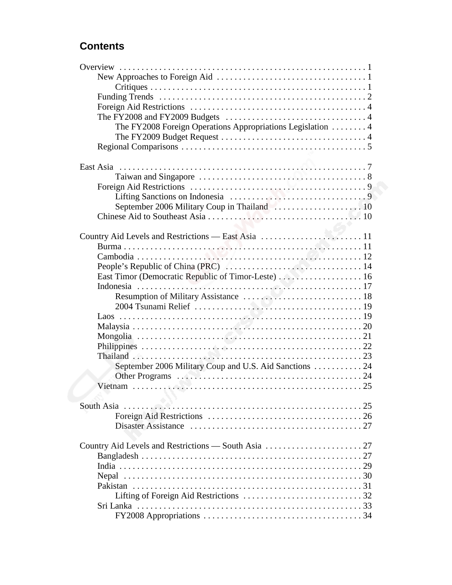## **Contents**

| The FY2008 Foreign Operations Appropriations Legislation  4 |  |
|-------------------------------------------------------------|--|
|                                                             |  |
|                                                             |  |
|                                                             |  |
|                                                             |  |
|                                                             |  |
|                                                             |  |
|                                                             |  |
| September 2006 Military Coup in Thailand  10                |  |
|                                                             |  |
|                                                             |  |
|                                                             |  |
|                                                             |  |
|                                                             |  |
|                                                             |  |
|                                                             |  |
|                                                             |  |
|                                                             |  |
|                                                             |  |
|                                                             |  |
|                                                             |  |
|                                                             |  |
|                                                             |  |
|                                                             |  |
| September 2006 Military Coup and U.S. Aid Sanctions 24      |  |
|                                                             |  |
|                                                             |  |
|                                                             |  |
|                                                             |  |
|                                                             |  |
|                                                             |  |
|                                                             |  |
|                                                             |  |
|                                                             |  |
|                                                             |  |
|                                                             |  |
|                                                             |  |
|                                                             |  |
|                                                             |  |
|                                                             |  |
|                                                             |  |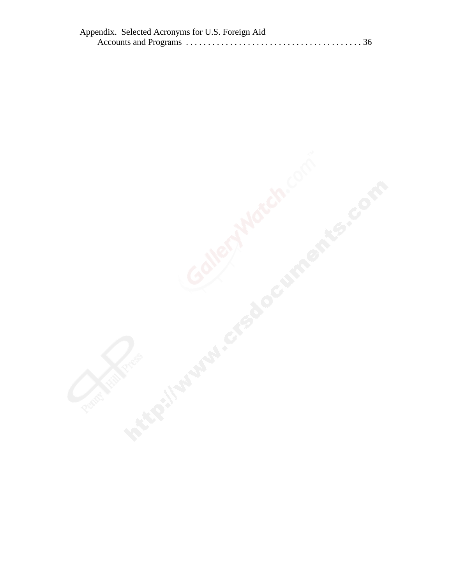| Appendix. Selected Acronyms for U.S. Foreign Aid |  |
|--------------------------------------------------|--|
|                                                  |  |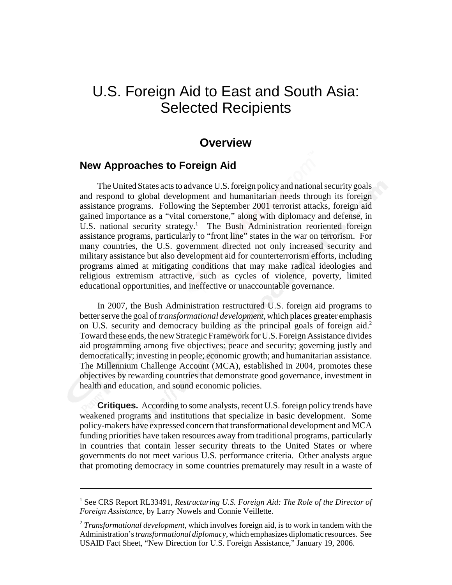# U.S. Foreign Aid to East and South Asia: Selected Recipients

## **Overview**

## **New Approaches to Foreign Aid**

The United States acts to advance U.S. foreign policy and national security goals and respond to global development and humanitarian needs through its foreign assistance programs. Following the September 2001 terrorist attacks, foreign aid gained importance as a "vital cornerstone," along with diplomacy and defense, in U.S. national security strategy.<sup>1</sup> The Bush Administration reoriented foreign assistance programs, particularly to "front line" states in the war on terrorism. For many countries, the U.S. government directed not only increased security and military assistance but also development aid for counterterrorism efforts, including programs aimed at mitigating conditions that may make radical ideologies and religious extremism attractive, such as cycles of violence, poverty, limited educational opportunities, and ineffective or unaccountable governance.

In 2007, the Bush Administration restructured U.S. foreign aid programs to better serve the goal of *transformational development*, which places greater emphasis on U.S. security and democracy building as the principal goals of foreign aid.<sup>2</sup> Toward these ends, the new Strategic Framework for U.S. Foreign Assistance divides aid programming among five objectives: peace and security; governing justly and democratically; investing in people; economic growth; and humanitarian assistance. The Millennium Challenge Account (MCA), established in 2004, promotes these objectives by rewarding countries that demonstrate good governance, investment in health and education, and sound economic policies.

**Critiques.** According to some analysts, recent U.S. foreign policy trends have weakened programs and institutions that specialize in basic development. Some policy-makers have expressed concern that transformational development and MCA funding priorities have taken resources away from traditional programs, particularly in countries that contain lesser security threats to the United States or where governments do not meet various U.S. performance criteria. Other analysts argue that promoting democracy in some countries prematurely may result in a waste of

<sup>&</sup>lt;sup>1</sup> See CRS Report RL33491, Restructuring U.S. Foreign Aid: The Role of the Director of *Foreign Assistance*, by Larry Nowels and Connie Veillette.

<sup>2</sup> *Transformational development*, which involves foreign aid, is to work in tandem with the Administration's *transformational diplomacy*, which emphasizes diplomatic resources. See USAID Fact Sheet, "New Direction for U.S. Foreign Assistance," January 19, 2006.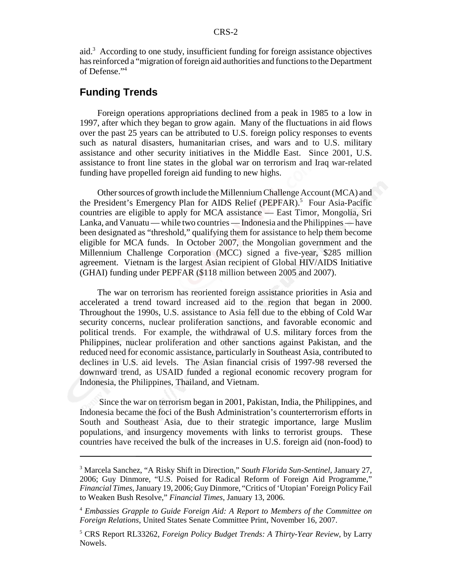aid.<sup>3</sup> According to one study, insufficient funding for foreign assistance objectives has reinforced a "migration of foreign aid authorities and functions to the Department of Defense."4

## **Funding Trends**

Foreign operations appropriations declined from a peak in 1985 to a low in 1997, after which they began to grow again. Many of the fluctuations in aid flows over the past 25 years can be attributed to U.S. foreign policy responses to events such as natural disasters, humanitarian crises, and wars and to U.S. military assistance and other security initiatives in the Middle East. Since 2001, U.S. assistance to front line states in the global war on terrorism and Iraq war-related funding have propelled foreign aid funding to new highs.

Other sources of growth include the Millennium Challenge Account (MCA) and the President's Emergency Plan for AIDS Relief (PEPFAR).<sup>5</sup> Four Asia-Pacific countries are eligible to apply for MCA assistance — East Timor, Mongolia, Sri Lanka, and Vanuatu — while two countries — Indonesia and the Philippines — have been designated as "threshold," qualifying them for assistance to help them become eligible for MCA funds. In October 2007, the Mongolian government and the Millennium Challenge Corporation (MCC) signed a five-year, \$285 million agreement. Vietnam is the largest Asian recipient of Global HIV/AIDS Initiative (GHAI) funding under PEPFAR (\$118 million between 2005 and 2007).

The war on terrorism has reoriented foreign assistance priorities in Asia and accelerated a trend toward increased aid to the region that began in 2000. Throughout the 1990s, U.S. assistance to Asia fell due to the ebbing of Cold War security concerns, nuclear proliferation sanctions, and favorable economic and political trends. For example, the withdrawal of U.S. military forces from the Philippines, nuclear proliferation and other sanctions against Pakistan, and the reduced need for economic assistance, particularly in Southeast Asia, contributed to declines in U.S. aid levels. The Asian financial crisis of 1997-98 reversed the downward trend, as USAID funded a regional economic recovery program for Indonesia, the Philippines, Thailand, and Vietnam.

 Since the war on terrorism began in 2001, Pakistan, India, the Philippines, and Indonesia became the foci of the Bush Administration's counterterrorism efforts in South and Southeast Asia, due to their strategic importance, large Muslim populations, and insurgency movements with links to terrorist groups. These countries have received the bulk of the increases in U.S. foreign aid (non-food) to

<sup>3</sup> Marcela Sanchez, "A Risky Shift in Direction," *South Florida Sun-Sentinel*, January 27, 2006; Guy Dinmore, "U.S. Poised for Radical Reform of Foreign Aid Programme," *Financial Times*, January 19, 2006; Guy Dinmore, "Critics of 'Utopian' Foreign Policy Fail to Weaken Bush Resolve," *Financial Times*, January 13, 2006.

<sup>4</sup> *Embassies Grapple to Guide Foreign Aid: A Report to Members of the Committee on Foreign Relations*, United States Senate Committee Print, November 16, 2007.

<sup>5</sup> CRS Report RL33262, *Foreign Policy Budget Trends: A Thirty-Year Review*, by Larry Nowels.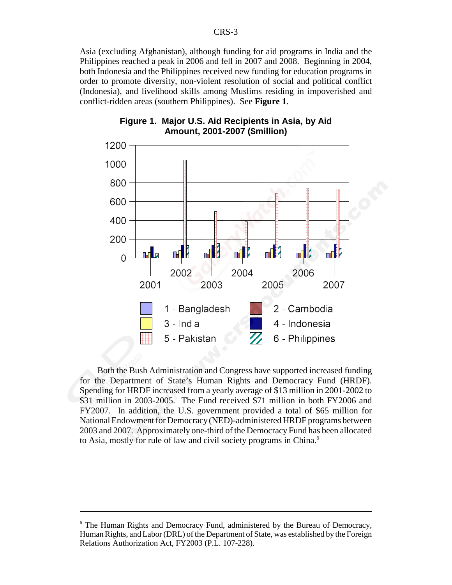Asia (excluding Afghanistan), although funding for aid programs in India and the Philippines reached a peak in 2006 and fell in 2007 and 2008. Beginning in 2004, both Indonesia and the Philippines received new funding for education programs in order to promote diversity, non-violent resolution of social and political conflict (Indonesia), and livelihood skills among Muslims residing in impoverished and conflict-ridden areas (southern Philippines). See **Figure 1**.



#### **Figure 1. Major U.S. Aid Recipients in Asia, by Aid Amount, 2001-2007 (\$million)**

Both the Bush Administration and Congress have supported increased funding for the Department of State's Human Rights and Democracy Fund (HRDF). Spending for HRDF increased from a yearly average of \$13 million in 2001-2002 to \$31 million in 2003-2005. The Fund received \$71 million in both FY2006 and FY2007. In addition, the U.S. government provided a total of \$65 million for National Endowment for Democracy (NED)-administered HRDF programs between 2003 and 2007. Approximately one-third of the Democracy Fund has been allocated to Asia, mostly for rule of law and civil society programs in China.<sup>6</sup>

<sup>&</sup>lt;sup>6</sup> The Human Rights and Democracy Fund, administered by the Bureau of Democracy, Human Rights, and Labor (DRL) of the Department of State, was established by the Foreign Relations Authorization Act, FY2003 (P.L. 107-228).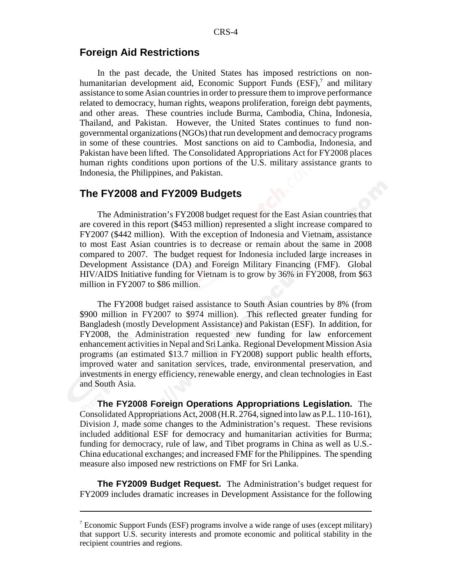## **Foreign Aid Restrictions**

In the past decade, the United States has imposed restrictions on nonhumanitarian development aid, Economic Support Funds (ESF),<sup>7</sup> and military assistance to some Asian countries in order to pressure them to improve performance related to democracy, human rights, weapons proliferation, foreign debt payments, and other areas. These countries include Burma, Cambodia, China, Indonesia, Thailand, and Pakistan. However, the United States continues to fund nongovernmental organizations (NGOs) that run development and democracy programs in some of these countries. Most sanctions on aid to Cambodia, Indonesia, and Pakistan have been lifted. The Consolidated Appropriations Act for FY2008 places human rights conditions upon portions of the U.S. military assistance grants to Indonesia, the Philippines, and Pakistan.

#### **The FY2008 and FY2009 Budgets**

The Administration's FY2008 budget request for the East Asian countries that are covered in this report (\$453 million) represented a slight increase compared to FY2007 (\$442 million). With the exception of Indonesia and Vietnam, assistance to most East Asian countries is to decrease or remain about the same in 2008 compared to 2007. The budget request for Indonesia included large increases in Development Assistance (DA) and Foreign Military Financing (FMF). Global HIV/AIDS Initiative funding for Vietnam is to grow by 36% in FY2008, from \$63 million in FY2007 to \$86 million.

The FY2008 budget raised assistance to South Asian countries by 8% (from \$900 million in FY2007 to \$974 million). This reflected greater funding for Bangladesh (mostly Development Assistance) and Pakistan (ESF). In addition, for FY2008, the Administration requested new funding for law enforcement enhancement activities in Nepal and Sri Lanka. Regional Development Mission Asia programs (an estimated \$13.7 million in FY2008) support public health efforts, improved water and sanitation services, trade, environmental preservation, and investments in energy efficiency, renewable energy, and clean technologies in East and South Asia.

**The FY2008 Foreign Operations Appropriations Legislation.** The Consolidated Appropriations Act, 2008 (H.R. 2764, signed into law as P.L. 110-161), Division J, made some changes to the Administration's request. These revisions included additional ESF for democracy and humanitarian activities for Burma; funding for democracy, rule of law, and Tibet programs in China as well as U.S.- China educational exchanges; and increased FMF for the Philippines. The spending measure also imposed new restrictions on FMF for Sri Lanka.

**The FY2009 Budget Request.** The Administration's budget request for FY2009 includes dramatic increases in Development Assistance for the following

<sup>&</sup>lt;sup>7</sup> Economic Support Funds (ESF) programs involve a wide range of uses (except military) that support U.S. security interests and promote economic and political stability in the recipient countries and regions.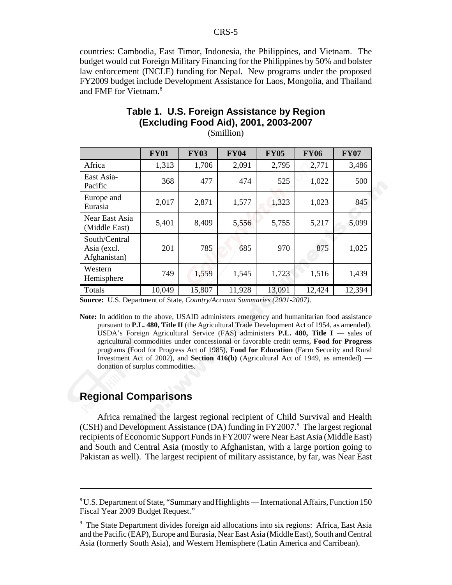countries: Cambodia, East Timor, Indonesia, the Philippines, and Vietnam. The budget would cut Foreign Military Financing for the Philippines by 50% and bolster law enforcement (INCLE) funding for Nepal. New programs under the proposed FY2009 budget include Development Assistance for Laos, Mongolia, and Thailand and FMF for Vietnam.<sup>8</sup>

|                                              | <b>FY01</b> | <b>FY03</b> | <b>FY04</b> | <b>FY05</b> | <b>FY06</b> | <b>FY07</b> |
|----------------------------------------------|-------------|-------------|-------------|-------------|-------------|-------------|
| Africa                                       | 1,313       | 1,706       | 2,091       | 2,795       | 2,771       | 3,486       |
| East Asia-<br>Pacific                        | 368         | 477         | 474         | 525         | 1,022       | 500         |
| Europe and<br>Eurasia                        | 2,017       | 2,871       | 1,577       | 1,323       | 1,023       | 845         |
| Near East Asia<br>(Middle East)              | 5,401       | 8,409       | 5,556       | 5,755       | 5,217       | 5,099       |
| South/Central<br>Asia (excl.<br>Afghanistan) | 201         | 785         | 685         | 970         | 875         | 1,025       |
| Western<br>Hemisphere                        | 749         | 1,559       | 1,545       | 1,723       | 1,516       | 1,439       |
| Totals                                       | 10,049      | 15,807      | 11,928      | 13,091      | 12,424      | 12,394      |

## **Table 1. U.S. Foreign Assistance by Region (Excluding Food Aid), 2001, 2003-2007**

(\$million)

**Source:** U.S. Department of State, *Country/Account Summaries (2001-2007)*.

**Note:** In addition to the above, USAID administers emergency and humanitarian food assistance pursuant to **P.L. 480, Title II** (the Agricultural Trade Development Act of 1954, as amended). USDA's Foreign Agricultural Service (FAS) administers **P.L. 480, Title I** — sales of agricultural commodities under concessional or favorable credit terms, **Food for Progress** programs (Food for Progress Act of 1985), **Food for Education** (Farm Security and Rural Investment Act of 2002), and **Section 416(b)** (Agricultural Act of 1949, as amended) donation of surplus commodities.

## **Regional Comparisons**

Africa remained the largest regional recipient of Child Survival and Health (CSH) and Development Assistance (DA) funding in FY2007.<sup>9</sup> The largest regional recipients of Economic Support Funds in FY2007 were Near East Asia (Middle East) and South and Central Asia (mostly to Afghanistan, with a large portion going to Pakistan as well). The largest recipient of military assistance, by far, was Near East

<sup>&</sup>lt;sup>8</sup> U.S. Department of State, "Summary and Highlights — International Affairs, Function 150 Fiscal Year 2009 Budget Request."

<sup>&</sup>lt;sup>9</sup> The State Department divides foreign aid allocations into six regions: Africa, East Asia and the Pacific (EAP), Europe and Eurasia, Near East Asia (Middle East), South and Central Asia (formerly South Asia), and Western Hemisphere (Latin America and Carribean).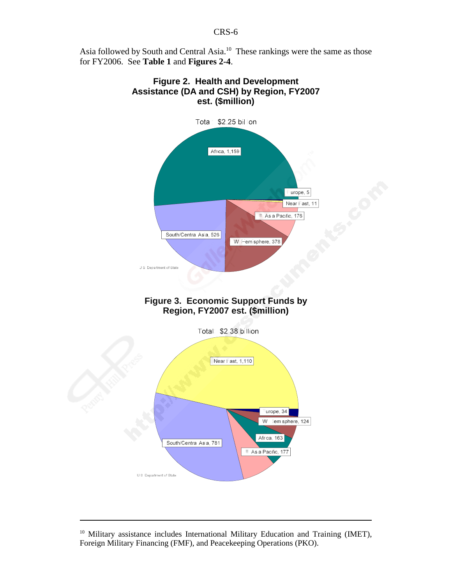Asia followed by South and Central Asia.10 These rankings were the same as those for FY2006. See **Table 1** and **Figures 2-4**.



<sup>&</sup>lt;sup>10</sup> Military assistance includes International Military Education and Training (IMET), Foreign Military Financing (FMF), and Peacekeeping Operations (PKO).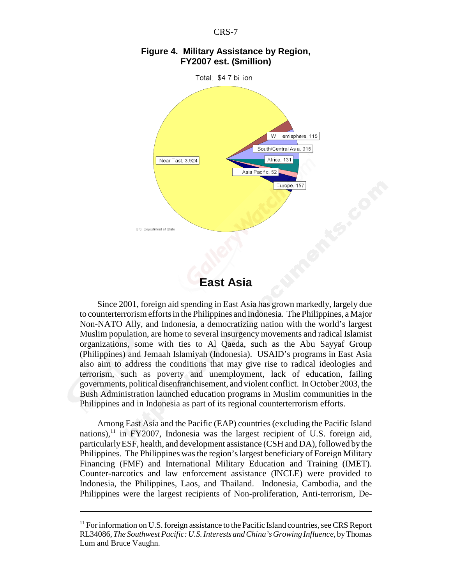



#### **Figure 4. Military Assistance by Region, FY2007 est. (\$million)**

## **East Asia**

Since 2001, foreign aid spending in East Asia has grown markedly, largely due to counterterrorism efforts in the Philippines and Indonesia. The Philippines, a Major Non-NATO Ally, and Indonesia, a democratizing nation with the world's largest Muslim population, are home to several insurgency movements and radical Islamist organizations, some with ties to Al Qaeda, such as the Abu Sayyaf Group (Philippines) and Jemaah Islamiyah (Indonesia). USAID's programs in East Asia also aim to address the conditions that may give rise to radical ideologies and terrorism, such as poverty and unemployment, lack of education, failing governments, political disenfranchisement, and violent conflict. In October 2003, the Bush Administration launched education programs in Muslim communities in the Philippines and in Indonesia as part of its regional counterterrorism efforts.

Among East Asia and the Pacific (EAP) countries (excluding the Pacific Island nations), $^{11}$  in FY2007, Indonesia was the largest recipient of U.S. foreign aid, particularly ESF, health, and development assistance (CSH and DA), followed by the Philippines. The Philippines was the region's largest beneficiary of Foreign Military Financing (FMF) and International Military Education and Training (IMET). Counter-narcotics and law enforcement assistance (INCLE) were provided to Indonesia, the Philippines, Laos, and Thailand. Indonesia, Cambodia, and the Philippines were the largest recipients of Non-proliferation, Anti-terrorism, De-

<sup>&</sup>lt;sup>11</sup> For information on U.S. foreign assistance to the Pacific Island countries, see CRS Report RL34086, *The Southwest Pacific: U.S. Interests and China's Growing Influence*, by Thomas Lum and Bruce Vaughn.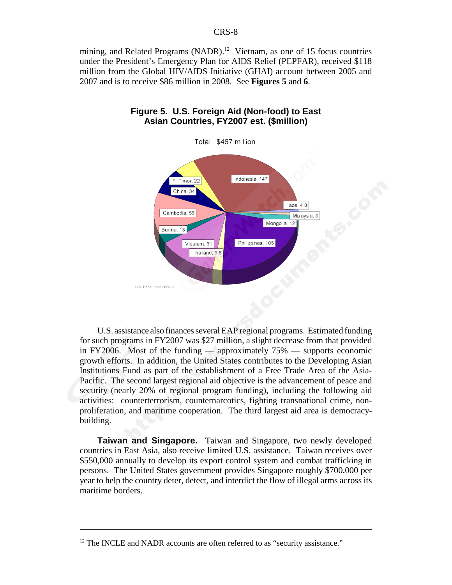mining, and Related Programs (NADR).<sup>12</sup> Vietnam, as one of 15 focus countries under the President's Emergency Plan for AIDS Relief (PEPFAR), received \$118 million from the Global HIV/AIDS Initiative (GHAI) account between 2005 and 2007 and is to receive \$86 million in 2008. See **Figures 5** and **6**.



#### **Figure 5. U.S. Foreign Aid (Non-food) to East Asian Countries, FY2007 est. (\$million)**

U.S. assistance also finances several EAP regional programs. Estimated funding for such programs in FY2007 was \$27 million, a slight decrease from that provided in FY2006. Most of the funding — approximately 75% — supports economic growth efforts. In addition, the United States contributes to the Developing Asian Institutions Fund as part of the establishment of a Free Trade Area of the Asia-Pacific. The second largest regional aid objective is the advancement of peace and security (nearly 20% of regional program funding), including the following aid activities: counterterrorism, counternarcotics, fighting transnational crime, nonproliferation, and maritime cooperation. The third largest aid area is democracybuilding.

**Taiwan and Singapore.** Taiwan and Singapore, two newly developed countries in East Asia, also receive limited U.S. assistance. Taiwan receives over \$550,000 annually to develop its export control system and combat trafficking in persons. The United States government provides Singapore roughly \$700,000 per year to help the country deter, detect, and interdict the flow of illegal arms across its maritime borders.

 $12$  The INCLE and NADR accounts are often referred to as "security assistance."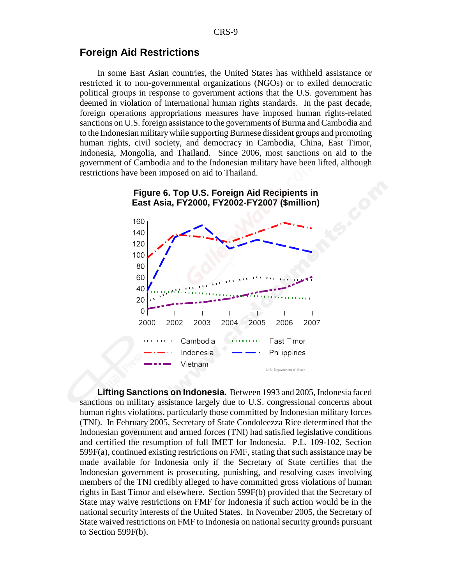## **Foreign Aid Restrictions**

In some East Asian countries, the United States has withheld assistance or restricted it to non-governmental organizations (NGOs) or to exiled democratic political groups in response to government actions that the U.S. government has deemed in violation of international human rights standards. In the past decade, foreign operations appropriations measures have imposed human rights-related sanctions on U.S. foreign assistance to the governments of Burma and Cambodia and to the Indonesian military while supporting Burmese dissident groups and promoting human rights, civil society, and democracy in Cambodia, China, East Timor, Indonesia, Mongolia, and Thailand. Since 2006, most sanctions on aid to the government of Cambodia and to the Indonesian military have been lifted, although restrictions have been imposed on aid to Thailand.



**Figure 6. Top U.S. Foreign Aid Recipients in East Asia, FY2000, FY2002-FY2007 (\$million)**

**Lifting Sanctions on Indonesia.** Between 1993 and 2005, Indonesia faced sanctions on military assistance largely due to U.S. congressional concerns about human rights violations, particularly those committed by Indonesian military forces (TNI). In February 2005, Secretary of State Condoleezza Rice determined that the Indonesian government and armed forces (TNI) had satisfied legislative conditions and certified the resumption of full IMET for Indonesia. P.L. 109-102, Section 599F(a), continued existing restrictions on FMF, stating that such assistance may be made available for Indonesia only if the Secretary of State certifies that the Indonesian government is prosecuting, punishing, and resolving cases involving members of the TNI credibly alleged to have committed gross violations of human rights in East Timor and elsewhere. Section 599F(b) provided that the Secretary of State may waive restrictions on FMF for Indonesia if such action would be in the national security interests of the United States. In November 2005, the Secretary of State waived restrictions on FMF to Indonesia on national security grounds pursuant to Section 599F(b).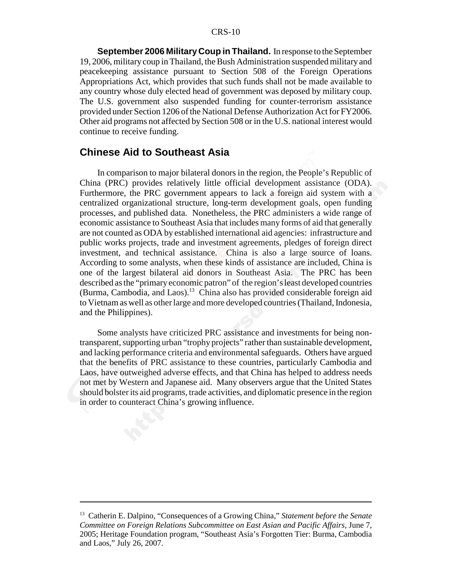**September 2006 Military Coup in Thailand.** In response to the September 19, 2006, military coup in Thailand, the Bush Administration suspended military and peacekeeping assistance pursuant to Section 508 of the Foreign Operations Appropriations Act, which provides that such funds shall not be made available to any country whose duly elected head of government was deposed by military coup. The U.S. government also suspended funding for counter-terrorism assistance provided under Section 1206 of the National Defense Authorization Act for FY2006. Other aid programs not affected by Section 508 or in the U.S. national interest would continue to receive funding.

#### **Chinese Aid to Southeast Asia**

In comparison to major bilateral donors in the region, the People's Republic of China (PRC) provides relatively little official development assistance (ODA). Furthermore, the PRC government appears to lack a foreign aid system with a centralized organizational structure, long-term development goals, open funding processes, and published data. Nonetheless, the PRC administers a wide range of economic assistance to Southeast Asia that includes many forms of aid that generally are not counted as ODA by established international aid agencies: infrastructure and public works projects, trade and investment agreements, pledges of foreign direct investment, and technical assistance. China is also a large source of loans. According to some analysts, when these kinds of assistance are included, China is one of the largest bilateral aid donors in Southeast Asia. The PRC has been described as the "primary economic patron" of the region's least developed countries (Burma, Cambodia, and Laos).13 China also has provided considerable foreign aid to Vietnam as well as other large and more developed countries (Thailand, Indonesia, and the Philippines).

Some analysts have criticized PRC assistance and investments for being nontransparent, supporting urban "trophy projects" rather than sustainable development, and lacking performance criteria and environmental safeguards. Others have argued that the benefits of PRC assistance to these countries, particularly Cambodia and Laos, have outweighed adverse effects, and that China has helped to address needs not met by Western and Japanese aid. Many observers argue that the United States should bolster its aid programs, trade activities, and diplomatic presence in the region in order to counteract China's growing influence.

<sup>13</sup> Catherin E. Dalpino, "Consequences of a Growing China," *Statement before the Senate Committee on Foreign Relations Subcommittee on East Asian and Pacific Affairs*, June 7, 2005; Heritage Foundation program, "Southeast Asia's Forgotten Tier: Burma, Cambodia and Laos," July 26, 2007.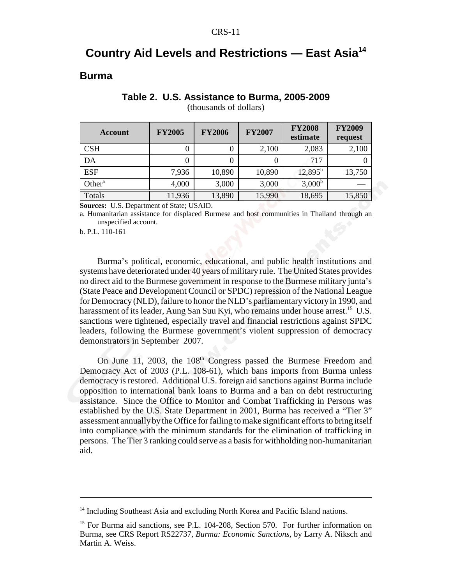## **Country Aid Levels and Restrictions — East Asia14**

#### **Burma**

| Account            | <b>FY2005</b> | <b>FY2006</b> | <b>FY2007</b> | <b>FY2008</b><br>estimate | <b>FY2009</b><br>request |
|--------------------|---------------|---------------|---------------|---------------------------|--------------------------|
| <b>CSH</b>         | 0             | $_{0}$        | 2,100         | 2,083                     | 2,100                    |
| DA                 | 0             | $\theta$      | 0             | 717                       |                          |
| <b>ESF</b>         | 7,936         | 10,890        | 10,890        | $12,895^{\rm b}$          | 13,750                   |
| Other <sup>a</sup> | 4,000         | 3,000         | 3,000         | 3,000 <sup>b</sup>        |                          |
| Totals             | 11,936        | 13,890        | 15,990        | 18,695                    | 15,850                   |

#### **Table 2. U.S. Assistance to Burma, 2005-2009**

(thousands of dollars)

**Sources:** U.S. Department of State; USAID.

a. Humanitarian assistance for displaced Burmese and host communities in Thailand through an unspecified account.

b. P.L. 110-161

Burma's political, economic, educational, and public health institutions and systems have deteriorated under 40 years of military rule. The United States provides no direct aid to the Burmese government in response to the Burmese military junta's (State Peace and Development Council or SPDC) repression of the National League for Democracy (NLD), failure to honor the NLD's parliamentary victory in 1990, and harassment of its leader, Aung San Suu Kyi, who remains under house arrest.<sup>15</sup> U.S. sanctions were tightened, especially travel and financial restrictions against SPDC leaders, following the Burmese government's violent suppression of democracy demonstrators in September 2007.

On June 11, 2003, the 108<sup>th</sup> Congress passed the Burmese Freedom and Democracy Act of 2003 (P.L. 108-61), which bans imports from Burma unless democracy is restored. Additional U.S. foreign aid sanctions against Burma include opposition to international bank loans to Burma and a ban on debt restructuring assistance. Since the Office to Monitor and Combat Trafficking in Persons was established by the U.S. State Department in 2001, Burma has received a "Tier 3" assessment annually by the Office for failing to make significant efforts to bring itself into compliance with the minimum standards for the elimination of trafficking in persons. The Tier 3 ranking could serve as a basis for withholding non-humanitarian aid.

<sup>&</sup>lt;sup>14</sup> Including Southeast Asia and excluding North Korea and Pacific Island nations.

<sup>&</sup>lt;sup>15</sup> For Burma aid sanctions, see P.L. 104-208, Section 570. For further information on Burma, see CRS Report RS22737, *Burma: Economic Sanctions*, by Larry A. Niksch and Martin A. Weiss.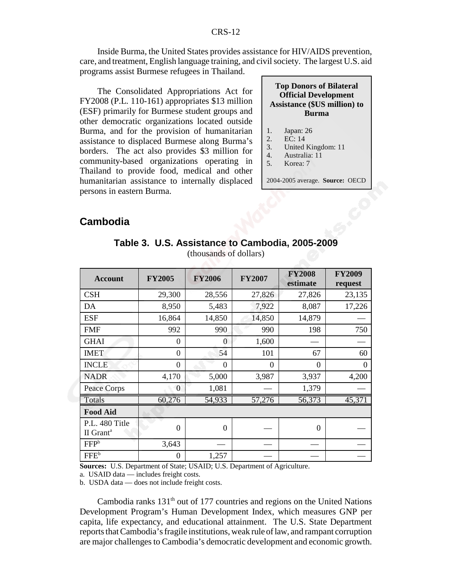Inside Burma, the United States provides assistance for HIV/AIDS prevention, care, and treatment, English language training, and civil society. The largest U.S. aid programs assist Burmese refugees in Thailand.

The Consolidated Appropriations Act for FY2008 (P.L. 110-161) appropriates \$13 million (ESF) primarily for Burmese student groups and other democratic organizations located outside Burma, and for the provision of humanitarian assistance to displaced Burmese along Burma's borders. The act also provides \$3 million for community-based organizations operating in Thailand to provide food, medical and other humanitarian assistance to internally displaced persons in eastern Burma.

| <b>Top Donors of Bilateral</b>      |
|-------------------------------------|
| <b>Official Development</b>         |
| <b>Assistance (\$US million) to</b> |
| <b>Burma</b>                        |

- 1. Japan: 26
	-
- 2. EC: 14<br>3. United 3. United Kingdom: 11
- 4. Australia: 11
- 5. Korea: 7

2004-2005 average. **Source:** OECD

## **Cambodia**

| <b>Account</b>                          | <b>FY2005</b>  | <b>FY2006</b> | <b>FY2007</b> | <b>FY2008</b><br>estimate | <b>FY2009</b><br>request |
|-----------------------------------------|----------------|---------------|---------------|---------------------------|--------------------------|
| <b>CSH</b>                              | 29,300         | 28,556        | 27,826        | 27,826                    | 23,135                   |
| DA                                      | 8,950          | 5,483         | 7,922         | 8,087                     | 17,226                   |
| <b>ESF</b>                              | 16,864         | 14,850        | 14,850        | 14,879                    |                          |
| <b>FMF</b>                              | 992            | 990           | 990           | 198                       | 750                      |
| <b>GHAI</b>                             | $\overline{0}$ | $\theta$      | 1,600         |                           |                          |
| <b>IMET</b>                             | $\overline{0}$ | 54            | 101           | 67                        | 60                       |
| <b>INCLE</b>                            | $\overline{0}$ | $\theta$      | $\theta$      | $\Omega$                  | $\Omega$                 |
| <b>NADR</b>                             | 4,170          | 5,000         | 3,987         | 3,937                     | 4,200                    |
| Peace Corps                             | $\theta$       | 1,081         |               | 1,379                     |                          |
| Totals                                  | 60,276         | 54,933        | 57,276        | 56,373                    | 45,371                   |
| <b>Food Aid</b>                         |                |               |               |                           |                          |
| P.L. 480 Title<br>II Grant <sup>a</sup> | $\overline{0}$ | $\theta$      |               | $\Omega$                  |                          |
| FFP <sup>b</sup>                        | 3,643          |               |               |                           |                          |
| FFE <sup>b</sup>                        | $\theta$       | 1,257         |               |                           |                          |

**Table 3. U.S. Assistance to Cambodia, 2005-2009** (thousands of dollars)

**Sources:** U.S. Department of State; USAID; U.S. Department of Agriculture.

a. USAID data — includes freight costs.

b. USDA data — does not include freight costs.

Cambodia ranks  $131<sup>th</sup>$  out of 177 countries and regions on the United Nations Development Program's Human Development Index, which measures GNP per capita, life expectancy, and educational attainment. The U.S. State Department reports that Cambodia's fragile institutions, weak rule of law, and rampant corruption are major challenges to Cambodia's democratic development and economic growth.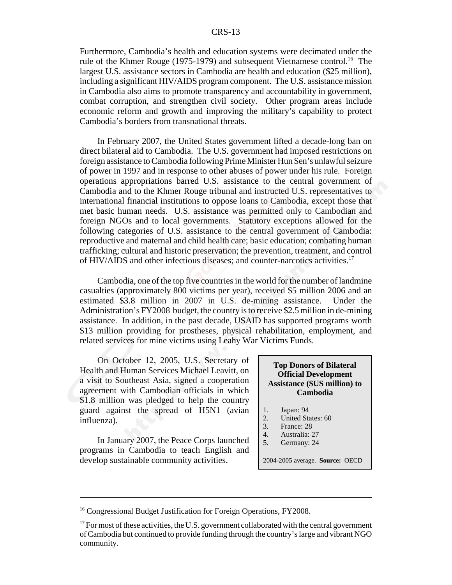Furthermore, Cambodia's health and education systems were decimated under the rule of the Khmer Rouge (1975-1979) and subsequent Vietnamese control.<sup>16</sup> The largest U.S. assistance sectors in Cambodia are health and education (\$25 million), including a significant HIV/AIDS program component. The U.S. assistance mission in Cambodia also aims to promote transparency and accountability in government, combat corruption, and strengthen civil society. Other program areas include economic reform and growth and improving the military's capability to protect Cambodia's borders from transnational threats.

In February 2007, the United States government lifted a decade-long ban on direct bilateral aid to Cambodia. The U.S. government had imposed restrictions on foreign assistance to Cambodia following Prime Minister Hun Sen's unlawful seizure of power in 1997 and in response to other abuses of power under his rule. Foreign operations appropriations barred U.S. assistance to the central government of Cambodia and to the Khmer Rouge tribunal and instructed U.S. representatives to international financial institutions to oppose loans to Cambodia, except those that met basic human needs. U.S. assistance was permitted only to Cambodian and foreign NGOs and to local governments. Statutory exceptions allowed for the following categories of U.S. assistance to the central government of Cambodia: reproductive and maternal and child health care; basic education; combating human trafficking; cultural and historic preservation; the prevention, treatment, and control of HIV/AIDS and other infectious diseases; and counter-narcotics activities.17

Cambodia, one of the top five countries in the world for the number of landmine casualties (approximately 800 victims per year), received \$5 million 2006 and an estimated \$3.8 million in 2007 in U.S. de-mining assistance. Under the Administration's FY2008 budget, the country is to receive \$2.5 million in de-mining assistance. In addition, in the past decade, USAID has supported programs worth \$13 million providing for prostheses, physical rehabilitation, employment, and related services for mine victims using Leahy War Victims Funds.

On October 12, 2005, U.S. Secretary of Health and Human Services Michael Leavitt, on a visit to Southeast Asia, signed a cooperation agreement with Cambodian officials in which \$1.8 million was pledged to help the country guard against the spread of H5N1 (avian influenza).

In January 2007, the Peace Corps launched programs in Cambodia to teach English and develop sustainable community activities.

#### **Top Donors of Bilateral Official Development Assistance (\$US million) to Cambodia**

- 1. Japan: 94<br>2. United Sta
- 2. United States: 60<br>3. France: 28
- France: 28
- 4. Australia: 27<br>5. Germany: 24
- Germany: 24

2004-2005 average. **Source:** OECD

<sup>&</sup>lt;sup>16</sup> Congressional Budget Justification for Foreign Operations, FY2008.

 $17$  For most of these activities, the U.S. government collaborated with the central government of Cambodia but continued to provide funding through the country's large and vibrant NGO community.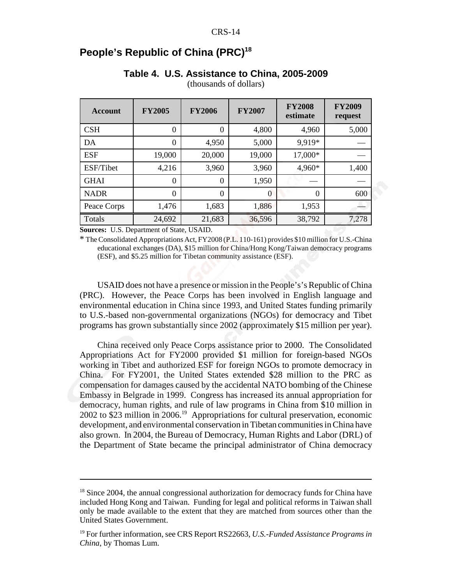## **People's Republic of China (PRC)<sup>18</sup>**

#### **Table 4. U.S. Assistance to China, 2005-2009**

| <b>Account</b> | <b>FY2005</b> | <b>FY2006</b> | <b>FY2007</b> | <b>FY2008</b><br>estimate | <b>FY2009</b><br>request |
|----------------|---------------|---------------|---------------|---------------------------|--------------------------|
| CSH            | $\Omega$      | $\Omega$      | 4,800         | 4,960                     | 5,000                    |
| DA             | $\theta$      | 4,950         | 5,000         | 9.919*                    |                          |
| <b>ESF</b>     | 19,000        | 20,000        | 19,000        | 17,000*                   |                          |
| ESF/Tibet      | 4,216         | 3,960         | 3,960         | 4,960*                    | 1,400                    |
| <b>GHAI</b>    | $\theta$      | $\theta$      | 1,950         |                           |                          |
| <b>NADR</b>    | $\theta$      | $\Omega$      | 0             | $\Omega$                  | 600                      |
| Peace Corps    | 1,476         | 1,683         | 1,886         | 1,953                     |                          |
| Totals         | 24,692        | 21,683        | 36,596        | 38,792                    | 7,278                    |

(thousands of dollars)

**Sources:** U.S. Department of State, USAID.

\* The Consolidated Appropriations Act, FY2008 (P.L. 110-161) provides \$10 million for U.S.-China educational exchanges (DA), \$15 million for China/Hong Kong/Taiwan democracy programs (ESF), and \$5.25 million for Tibetan community assistance (ESF).

USAID does not have a presence or mission in the People's's Republic of China (PRC). However, the Peace Corps has been involved in English language and environmental education in China since 1993, and United States funding primarily to U.S.-based non-governmental organizations (NGOs) for democracy and Tibet programs has grown substantially since 2002 (approximately \$15 million per year).

China received only Peace Corps assistance prior to 2000. The Consolidated Appropriations Act for FY2000 provided \$1 million for foreign-based NGOs working in Tibet and authorized ESF for foreign NGOs to promote democracy in China. For FY2001, the United States extended \$28 million to the PRC as compensation for damages caused by the accidental NATO bombing of the Chinese Embassy in Belgrade in 1999. Congress has increased its annual appropriation for democracy, human rights, and rule of law programs in China from \$10 million in  $2002$  to \$23 million in 2006.<sup>19</sup> Appropriations for cultural preservation, economic development, and environmental conservation in Tibetan communities in China have also grown. In 2004, the Bureau of Democracy, Human Rights and Labor (DRL) of the Department of State became the principal administrator of China democracy

 $18$  Since 2004, the annual congressional authorization for democracy funds for China have included Hong Kong and Taiwan. Funding for legal and political reforms in Taiwan shall only be made available to the extent that they are matched from sources other than the United States Government.

<sup>19</sup> For further information, see CRS Report RS22663, *U.S.-Funded Assistance Programs in China*, by Thomas Lum.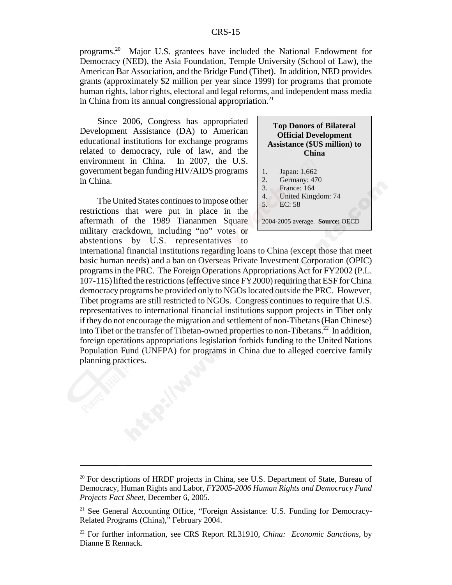programs.20 Major U.S. grantees have included the National Endowment for Democracy (NED), the Asia Foundation, Temple University (School of Law), the American Bar Association, and the Bridge Fund (Tibet). In addition, NED provides grants (approximately \$2 million per year since 1999) for programs that promote human rights, labor rights, electoral and legal reforms, and independent mass media in China from its annual congressional appropriation.<sup>21</sup>

Since 2006, Congress has appropriated Development Assistance (DA) to American educational institutions for exchange programs related to democracy, rule of law, and the environment in China. In 2007, the U.S. government began funding HIV/AIDS programs in China.

The United States continues to impose other restrictions that were put in place in the aftermath of the 1989 Tiananmen Square military crackdown, including "no" votes or abstentions by U.S. representatives to

|                      | <b>Top Donors of Bilateral</b><br><b>Official Development</b><br><b>Assistance (\$US million) to</b><br><b>China</b> |
|----------------------|----------------------------------------------------------------------------------------------------------------------|
| 1.<br>2.<br>3.<br>4. | Japan: 1,662<br>Germany: 470<br>France: 164<br>United Kingdom: 74                                                    |
| 5.                   | EC: 58                                                                                                               |

2004-2005 average. **Source:** OECD

international financial institutions regarding loans to China (except those that meet basic human needs) and a ban on Overseas Private Investment Corporation (OPIC) programs in the PRC. The Foreign Operations Appropriations Act for FY2002 (P.L. 107-115) lifted the restrictions (effective since FY2000) requiring that ESF for China democracy programs be provided only to NGOs located outside the PRC. However, Tibet programs are still restricted to NGOs. Congress continues to require that U.S. representatives to international financial institutions support projects in Tibet only if they do not encourage the migration and settlement of non-Tibetans (Han Chinese) into Tibet or the transfer of Tibetan-owned properties to non-Tibetans.<sup>22</sup> In addition, foreign operations appropriations legislation forbids funding to the United Nations Population Fund (UNFPA) for programs in China due to alleged coercive family planning practices.

 $20$  For descriptions of HRDF projects in China, see U.S. Department of State, Bureau of Democracy, Human Rights and Labor, *FY2005-2006 Human Rights and Democracy Fund Projects Fact Sheet*, December 6, 2005.

<sup>&</sup>lt;sup>21</sup> See General Accounting Office, "Foreign Assistance: U.S. Funding for Democracy-Related Programs (China)," February 2004.

<sup>22</sup> For further information, see CRS Report RL31910, *China: Economic Sanctions*, by Dianne E Rennack.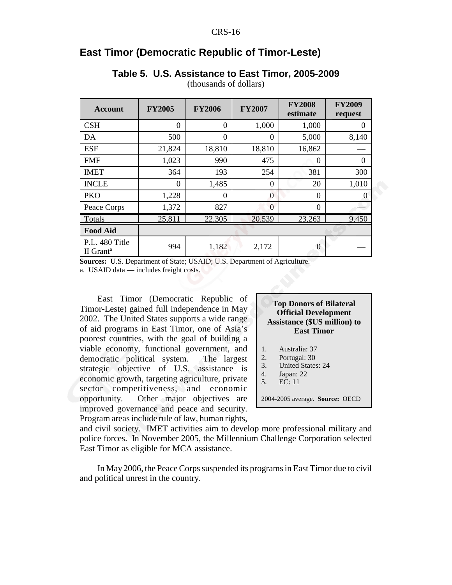## **East Timor (Democratic Republic of Timor-Leste)**

## **Table 5. U.S. Assistance to East Timor, 2005-2009**

|  | (thousands of dollars) |  |  |  |
|--|------------------------|--|--|--|
|--|------------------------|--|--|--|

| <b>Account</b>                          | <b>FY2005</b> | <b>FY2006</b> | <b>FY2007</b> | <b>FY2008</b><br>estimate | <b>FY2009</b><br>request |
|-----------------------------------------|---------------|---------------|---------------|---------------------------|--------------------------|
| <b>CSH</b>                              | $\theta$      | $\theta$      | 1,000         | 1,000                     | $\theta$                 |
| DA                                      | 500           | $\Omega$      | $\theta$      | 5,000                     | 8,140                    |
| <b>ESF</b>                              | 21,824        | 18,810        | 18,810        | 16,862                    |                          |
| <b>FMF</b>                              | 1,023         | 990           | 475           | $\Omega$                  | $\theta$                 |
| <b>IMET</b>                             | 364           | 193           | 254           | 381                       | 300                      |
| <b>INCLE</b>                            | $\theta$      | 1,485         | $\theta$      | 20                        | 1,010                    |
| <b>PKO</b>                              | 1,228         | $\theta$      | 0             | $\theta$                  | $\theta$                 |
| Peace Corps                             | 1,372         | 827           | $\Omega$      | $\overline{0}$            |                          |
| Totals                                  | 25,811        | 22,305        | 20,539        | 23,263                    | 9,450                    |
| <b>Food Aid</b>                         |               |               |               |                           |                          |
| P.L. 480 Title<br>II Grant <sup>a</sup> | 994           | 1,182         | 2,172         | $\Omega$                  |                          |

**Sources:** U.S. Department of State; USAID; U.S. Department of Agriculture.

a. USAID data — includes freight costs.

East Timor (Democratic Republic of Timor-Leste) gained full independence in May 2002. The United States supports a wide range of aid programs in East Timor, one of Asia's poorest countries, with the goal of building a viable economy, functional government, and democratic political system. The largest strategic objective of U.S. assistance is economic growth, targeting agriculture, private sector competitiveness, and economic opportunity. Other major objectives are improved governance and peace and security. Program areas include rule of law, human rights,

| <b>Top Donors of Bilateral</b>      |
|-------------------------------------|
| <b>Official Development</b>         |
| <b>Assistance (\$US million) to</b> |
| <b>East Timor</b>                   |

- 1. Australia: 37
- 2. Portugal: 30
- 3. United States: 24
- 4. Japan: 22
- 5. EC: 11

2004-2005 average. **Source:** OECD

and civil society. IMET activities aim to develop more professional military and police forces. In November 2005, the Millennium Challenge Corporation selected East Timor as eligible for MCA assistance.

In May 2006, the Peace Corps suspended its programs in East Timor due to civil and political unrest in the country.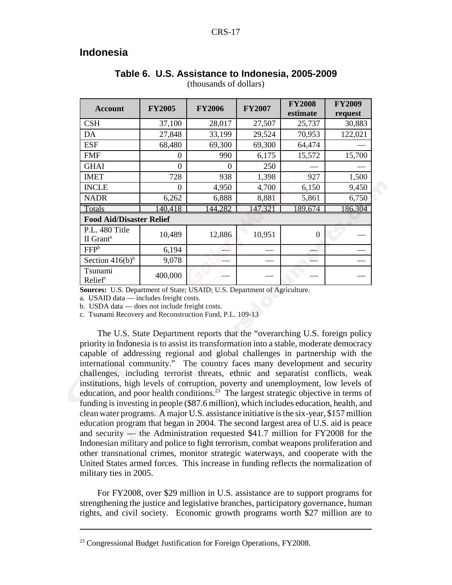## **Indonesia**

| <b>Account</b>                          | <b>FY2005</b>  | <b>FY2006</b> | <b>FY2007</b> | <b>FY2008</b><br>estimate | <b>FY2009</b><br>request |
|-----------------------------------------|----------------|---------------|---------------|---------------------------|--------------------------|
| <b>CSH</b>                              | 37,100         | 28,017        | 27,507        | 25,737                    | 30,883                   |
| DA                                      | 27,848         | 33,199        | 29,524        | 70,953                    | 122,021                  |
| <b>ESF</b>                              | 68,480         | 69,300        | 69,300        | 64,474                    |                          |
| <b>FMF</b>                              | $\Omega$       | 990           | 6,175         | 15,572                    | 15,700                   |
| <b>GHAI</b>                             | $\theta$       | 0             | 250           |                           |                          |
| <b>IMET</b>                             | 728            | 938           | 1,398         | 927                       | 1,500                    |
| <b>INCLE</b>                            | $\overline{0}$ | 4,950         | 4,700         | 6,150                     | 9,450                    |
| <b>NADR</b>                             | 6,262          | 6,888         | 8,881         | 5,861                     | 6,750                    |
| Totals                                  | $-40,418$      | 44,282        | 47,32         | 189,674                   | 186,304                  |
| <b>Food Aid/Disaster Relief</b>         |                |               |               |                           |                          |
| P.L. 480 Title<br>II Grant <sup>a</sup> | 10,489         | 12,886        | 10,951        | $\Omega$                  |                          |
| FFP <sup>b</sup>                        | 6,194          |               |               |                           |                          |
| Section $416(b)^b$                      | 9,078          |               |               |                           |                          |
| Tsunami<br>Relief <sup>c</sup>          | 400,000        |               |               |                           |                          |

## **Table 6. U.S. Assistance to Indonesia, 2005-2009**

(thousands of dollars)

**Sources:** U.S. Department of State; USAID; U.S. Department of Agriculture.

a. USAID data — includes freight costs.

b. USDA data — does not include freight costs.

c. Tsunami Recovery and Reconstruction Fund, P.L. 109-13

The U.S. State Department reports that the "overarching U.S. foreign policy priority in Indonesia is to assist its transformation into a stable, moderate democracy capable of addressing regional and global challenges in partnership with the international community." The country faces many development and security challenges, including terrorist threats, ethnic and separatist conflicts, weak institutions, high levels of corruption, poverty and unemployment, low levels of education, and poor health conditions.<sup>23</sup> The largest strategic objective in terms of funding is investing in people (\$87.6 million), which includes education, health, and clean water programs. A major U.S. assistance initiative is the six-year, \$157 million education program that began in 2004. The second largest area of U.S. aid is peace and security — the Administration requested \$41.7 million for FY2008 for the Indonesian military and police to fight terrorism, combat weapons proliferation and other transnational crimes, monitor strategic waterways, and cooperate with the United States armed forces. This increase in funding reflects the normalization of military ties in 2005.

For FY2008, over \$29 million in U.S. assistance are to support programs for strengthening the justice and legislative branches, participatory governance, human rights, and civil society. Economic growth programs worth \$27 million are to

<sup>&</sup>lt;sup>23</sup> Congressional Budget Justification for Foreign Operations, FY2008.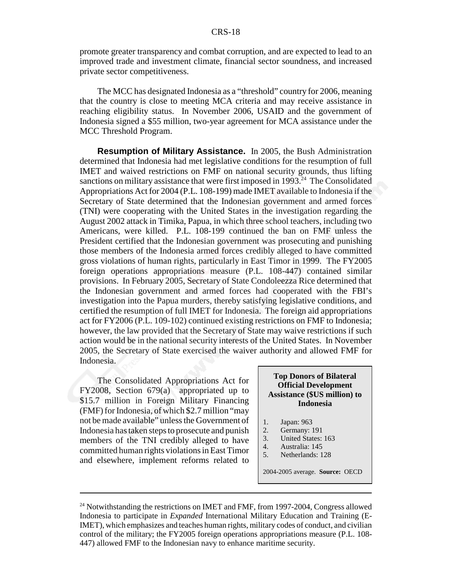promote greater transparency and combat corruption, and are expected to lead to an improved trade and investment climate, financial sector soundness, and increased private sector competitiveness.

The MCC has designated Indonesia as a "threshold" country for 2006, meaning that the country is close to meeting MCA criteria and may receive assistance in reaching eligibility status. In November 2006, USAID and the government of Indonesia signed a \$55 million, two-year agreement for MCA assistance under the MCC Threshold Program.

**Resumption of Military Assistance.** In 2005, the Bush Administration determined that Indonesia had met legislative conditions for the resumption of full IMET and waived restrictions on FMF on national security grounds, thus lifting sanctions on military assistance that were first imposed in 1993.<sup>24</sup> The Consolidated Appropriations Act for 2004 (P.L. 108-199) made IMET available to Indonesia if the Secretary of State determined that the Indonesian government and armed forces (TNI) were cooperating with the United States in the investigation regarding the August 2002 attack in Timika, Papua, in which three school teachers, including two Americans, were killed. P.L. 108-199 continued the ban on FMF unless the President certified that the Indonesian government was prosecuting and punishing those members of the Indonesia armed forces credibly alleged to have committed gross violations of human rights, particularly in East Timor in 1999. The FY2005 foreign operations appropriations measure (P.L. 108-447) contained similar provisions. In February 2005, Secretary of State Condoleezza Rice determined that the Indonesian government and armed forces had cooperated with the FBI's investigation into the Papua murders, thereby satisfying legislative conditions, and certified the resumption of full IMET for Indonesia. The foreign aid appropriations act for FY2006 (P.L. 109-102) continued existing restrictions on FMF to Indonesia; however, the law provided that the Secretary of State may waive restrictions if such action would be in the national security interests of the United States. In November 2005, the Secretary of State exercised the waiver authority and allowed FMF for Indonesia.

The Consolidated Appropriations Act for FY2008, Section 679(a) appropriated up to \$15.7 million in Foreign Military Financing (FMF) for Indonesia, of which \$2.7 million "may not be made available" unless the Government of Indonesia has taken steps to prosecute and punish members of the TNI credibly alleged to have committed human rights violations in East Timor and elsewhere, implement reforms related to

#### **Top Donors of Bilateral Official Development Assistance (\$US million) to Indonesia**

- 1. Japan: 963<br>2. Germany: 1
- Germany: 191
- 3. United States: 163
- 4. Australia: 145<br>5. Netherlands: 1
- Netherlands: 128

2004-2005 average. **Source:** OECD

<sup>&</sup>lt;sup>24</sup> Notwithstanding the restrictions on IMET and FMF, from 1997-2004, Congress allowed Indonesia to participate in *Expanded* International Military Education and Training (E-IMET), which emphasizes and teaches human rights, military codes of conduct, and civilian control of the military; the FY2005 foreign operations appropriations measure (P.L. 108- 447) allowed FMF to the Indonesian navy to enhance maritime security.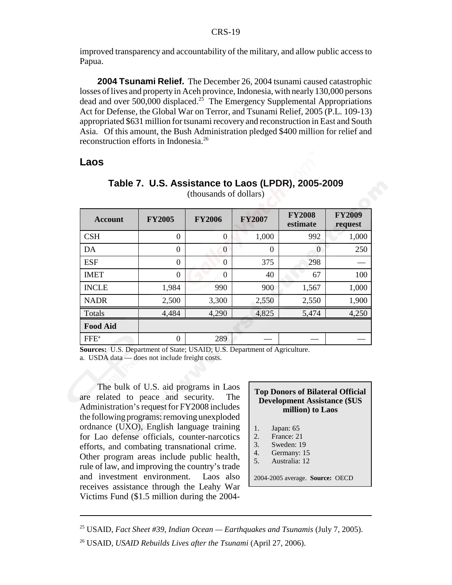improved transparency and accountability of the military, and allow public access to Papua.

**2004 Tsunami Relief.** The December 26, 2004 tsunami caused catastrophic losses of lives and property in Aceh province, Indonesia, with nearly 130,000 persons dead and over 500,000 displaced.<sup>25</sup> The Emergency Supplemental Appropriations Act for Defense, the Global War on Terror, and Tsunami Relief, 2005 (P.L. 109-13) appropriated \$631 million for tsunami recovery and reconstruction in East and South Asia. Of this amount, the Bush Administration pledged \$400 million for relief and reconstruction efforts in Indonesia.26

#### **Laos**

| <b>Account</b>   | <b>FY2005</b>  | <b>FY2006</b>  | <b>FY2007</b> | <b>FY2008</b><br>estimate | <b>FY2009</b><br>request |
|------------------|----------------|----------------|---------------|---------------------------|--------------------------|
| <b>CSH</b>       | $\theta$       | $\overline{0}$ | 1,000         | 992                       | 1,000                    |
| DA               | $\theta$       | $\theta$       | $\theta$      | $\boldsymbol{0}$          | 250                      |
| <b>ESF</b>       | $\overline{0}$ | $\overline{0}$ | 375           | 298                       |                          |
| <b>IMET</b>      | $\Omega$       | $\overline{0}$ | 40            | 67                        | 100                      |
| <b>INCLE</b>     | 1,984          | 990            | 900           | 1,567                     | 1,000                    |
| <b>NADR</b>      | 2,500          | 3,300          | 2,550         | 2,550                     | 1,900                    |
| Totals           | 4,484          | 4,290          | 4,825         | 5,474                     | 4,250                    |
| <b>Food Aid</b>  |                |                |               |                           |                          |
| FFE <sup>a</sup> | 0              | 289            |               |                           |                          |

#### **Table 7. U.S. Assistance to Laos (LPDR), 2005-2009** (thousands of dollars)

**Sources:** U.S. Department of State; USAID; U.S. Department of Agriculture.

a. USDA data — does not include freight costs.

The bulk of U.S. aid programs in Laos are related to peace and security. The Administration's request for FY2008 includes the following programs: removing unexploded ordnance (UXO), English language training for Lao defense officials, counter-narcotics efforts, and combating transnational crime. Other program areas include public health, rule of law, and improving the country's trade and investment environment. Laos also receives assistance through the Leahy War Victims Fund (\$1.5 million during the 2004-

## **Top Donors of Bilateral Official Development Assistance (\$US million) to Laos**

- 1. Japan: 65
- 2. France: 21
- 3. Sweden: 19
- 4. Germany: 15
- 5. Australia: 12

2004-2005 average. **Source:** OECD

<sup>25</sup> USAID, *Fact Sheet #39, Indian Ocean — Earthquakes and Tsunamis* (July 7, 2005).

<sup>26</sup> USAID, *USAID Rebuilds Lives after the Tsunami* (April 27, 2006).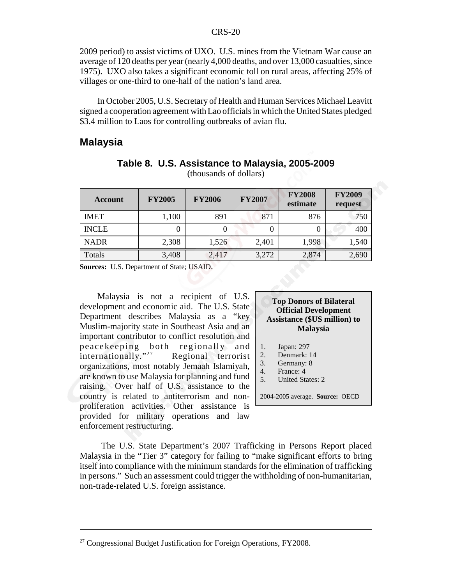2009 period) to assist victims of UXO. U.S. mines from the Vietnam War cause an average of 120 deaths per year (nearly 4,000 deaths, and over 13,000 casualties, since 1975). UXO also takes a significant economic toll on rural areas, affecting 25% of villages or one-third to one-half of the nation's land area.

In October 2005, U.S. Secretary of Health and Human Services Michael Leavitt signed a cooperation agreement with Lao officials in which the United States pledged \$3.4 million to Laos for controlling outbreaks of avian flu.

#### **Malaysia**

| <b>Account</b> | <b>FY2005</b> | <b>FY2006</b> | <b>FY2007</b> | <b>FY2008</b><br>estimate | <b>FY2009</b><br>request |
|----------------|---------------|---------------|---------------|---------------------------|--------------------------|
| <b>IMET</b>    | 1,100         | 891           | 871           | 876                       | 750                      |
| <b>INCLE</b>   |               |               |               |                           | 400                      |
| <b>NADR</b>    | 2,308         | 1,526         | 2,401         | 1,998                     | 1,540                    |
| Totals         | 3,408         | 2,417         | 3,272         | 2,874                     | 2,690                    |

**Table 8. U.S. Assistance to Malaysia, 2005-2009** (thousands of dollars)

**Sources:** U.S. Department of State; USAID.

Malaysia is not a recipient of U.S. development and economic aid. The U.S. State Department describes Malaysia as a "key Muslim-majority state in Southeast Asia and an important contributor to conflict resolution and peacekeeping both regionally and<br>internationally."<sup>27</sup> Regional terrorist Regional terrorist organizations, most notably Jemaah Islamiyah, are known to use Malaysia for planning and fund raising. Over half of U.S. assistance to the country is related to antiterrorism and nonproliferation activities. Other assistance is provided for military operations and law enforcement restructuring.

#### **Top Donors of Bilateral Official Development Assistance (\$US million) to Malaysia**

- 1. Japan: 297
- 2. Denmark: 14
- 3. Germany: 8
- 4. France: 4
- 5. United States: 2
- 2004-2005 average. **Source:** OECD

 The U.S. State Department's 2007 Trafficking in Persons Report placed Malaysia in the "Tier 3" category for failing to "make significant efforts to bring itself into compliance with the minimum standards for the elimination of trafficking in persons." Such an assessment could trigger the withholding of non-humanitarian, non-trade-related U.S. foreign assistance.

 $27$  Congressional Budget Justification for Foreign Operations, FY2008.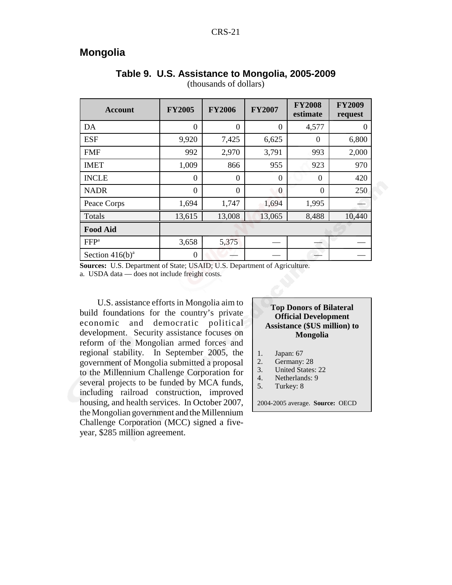## **Mongolia**

| <b>Account</b>     | <b>FY2005</b> | <b>FY2006</b>    | <b>FY2007</b> | <b>FY2008</b><br>estimate | <b>FY2009</b><br>request |
|--------------------|---------------|------------------|---------------|---------------------------|--------------------------|
| DA                 | $\theta$      | $\boldsymbol{0}$ | $\theta$      | 4,577                     | O                        |
| <b>ESF</b>         | 9,920         | 7,425            | 6,625         | $\overline{0}$            | 6,800                    |
| <b>FMF</b>         | 992           | 2,970            | 3,791         | 993                       | 2,000                    |
| <b>IMET</b>        | 1,009         | 866              | 955           | 923                       | 970                      |
| <b>INCLE</b>       | $\theta$      | $\theta$         | $\theta$      | 0                         | 420                      |
| <b>NADR</b>        | $\Omega$      | $\overline{0}$   | $\Omega$      | $\Omega$                  | 250                      |
| Peace Corps        | 1,694         | 1,747            | 1,694         | 1,995                     |                          |
| Totals             | 13,615        | 13,008           | 13,065        | 8,488                     | 10,440                   |
| <b>Food Aid</b>    |               |                  |               |                           |                          |
| FFP <sup>a</sup>   | 3,658         | 5,375            |               |                           |                          |
| Section $416(b)^a$ | 0             |                  |               |                           |                          |

## **Table 9. U.S. Assistance to Mongolia, 2005-2009**

(thousands of dollars)

**Sources:** U.S. Department of State; USAID; U.S. Department of Agriculture.

a. USDA data — does not include freight costs.

U.S. assistance efforts in Mongolia aim to build foundations for the country's private economic and democratic political development. Security assistance focuses on reform of the Mongolian armed forces and regional stability. In September 2005, the government of Mongolia submitted a proposal to the Millennium Challenge Corporation for several projects to be funded by MCA funds, including railroad construction, improved housing, and health services. In October 2007, the Mongolian government and the Millennium Challenge Corporation (MCC) signed a fiveyear, \$285 million agreement.

#### **Top Donors of Bilateral Official Development Assistance (\$US million) to Mongolia**

- 1. Japan: 67<br>2. Germany:
- 2. Germany: 28<br>3. United States
- United States: 22
- 4. Netherlands: 9
- 5. Turkey: 8

2004-2005 average. **Source:** OECD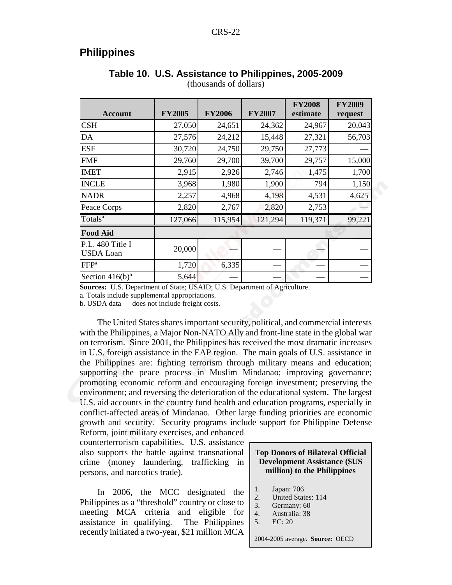## **Philippines**

| <b>Account</b>                       | <b>FY2005</b> | <b>FY2006</b> | <b>FY2007</b> | <b>FY2008</b><br>estimate | <b>FY2009</b><br>request |
|--------------------------------------|---------------|---------------|---------------|---------------------------|--------------------------|
| <b>CSH</b>                           | 27,050        | 24,651        | 24,362        | 24,967                    | 20,043                   |
| DA                                   | 27,576        | 24,212        | 15,448        | 27,321                    | 56,703                   |
| <b>ESF</b>                           | 30,720        | 24,750        | 29,750        | 27,773                    |                          |
| <b>FMF</b>                           | 29,760        | 29,700        | 39,700        | 29,757                    | 15,000                   |
| <b>IMET</b>                          | 2,915         | 2,926         | 2,746         | 1,475                     | 1,700                    |
| <b>INCLE</b>                         | 3,968         | 1,980         | 1,900         | 794                       | 1,150                    |
| <b>NADR</b>                          | 2,257         | 4,968         | 4,198         | 4,531                     | 4,625                    |
| Peace Corps                          | 2,820         | 2,767         | 2,820         | 2,753                     |                          |
| Totals <sup>a</sup>                  | 127,066       | 115,954       | 121,294       | 119,371                   | 99,221                   |
| <b>Food Aid</b>                      |               |               |               |                           |                          |
| P.L. 480 Title I<br><b>USDA</b> Loan | 20,000        |               |               |                           |                          |
| FFP <sup>a</sup>                     | 1,720         | 6,335         |               |                           |                          |
| Section $416(b)^b$                   | 5,644         |               |               |                           |                          |

## **Table 10. U.S. Assistance to Philippines, 2005-2009**

(thousands of dollars)

**Sources:** U.S. Department of State; USAID; U.S. Department of Agriculture.

a. Totals include supplemental appropriations.

b. USDA data — does not include freight costs.

The United States shares important security, political, and commercial interests with the Philippines, a Major Non-NATO Ally and front-line state in the global war on terrorism. Since 2001, the Philippines has received the most dramatic increases in U.S. foreign assistance in the EAP region. The main goals of U.S. assistance in the Philippines are: fighting terrorism through military means and education; supporting the peace process in Muslim Mindanao; improving governance; promoting economic reform and encouraging foreign investment; preserving the environment; and reversing the deterioration of the educational system. The largest U.S. aid accounts in the country fund health and education programs, especially in conflict-affected areas of Mindanao. Other large funding priorities are economic growth and security. Security programs include support for Philippine Defense

Reform, joint military exercises, and enhanced counterterrorism capabilities. U.S. assistance also supports the battle against transnational crime (money laundering, trafficking in persons, and narcotics trade).

In 2006, the MCC designated the Philippines as a "threshold" country or close to meeting MCA criteria and eligible for assistance in qualifying. The Philippines recently initiated a two-year, \$21 million MCA

#### **Top Donors of Bilateral Official Development Assistance (\$US million) to the Philippines**

- 1. Japan: 706
- 2. United States: 114
- 3. Germany: 60
- 4. Australia: 38
- 5. EC: 20

2004-2005 average. **Source:** OECD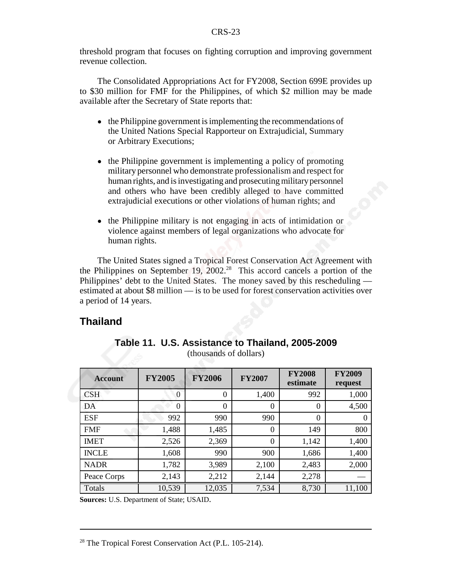threshold program that focuses on fighting corruption and improving government revenue collection.

The Consolidated Appropriations Act for FY2008, Section 699E provides up to \$30 million for FMF for the Philippines, of which \$2 million may be made available after the Secretary of State reports that:

- the Philippine government is implementing the recommendations of the United Nations Special Rapporteur on Extrajudicial, Summary or Arbitrary Executions;
- the Philippine government is implementing a policy of promoting military personnel who demonstrate professionalism and respect for human rights, and is investigating and prosecuting military personnel and others who have been credibly alleged to have committed extrajudicial executions or other violations of human rights; and
- the Philippine military is not engaging in acts of intimidation or violence against members of legal organizations who advocate for human rights.

The United States signed a Tropical Forest Conservation Act Agreement with the Philippines on September 19,  $2002<sup>28</sup>$  This accord cancels a portion of the Philippines' debt to the United States. The money saved by this rescheduling estimated at about \$8 million — is to be used for forest conservation activities over a period of 14 years.

## **Thailand**

| <b>Account</b> | <b>FY2005</b> | <b>FY2006</b> | <b>FY2007</b>  | <b>FY2008</b><br>estimate | <b>FY2009</b><br>request |
|----------------|---------------|---------------|----------------|---------------------------|--------------------------|
| <b>CSH</b>     | $\theta$      | $\theta$      | 1,400          | 992                       | 1,000                    |
| DA             | $\Omega$      | $\theta$      | $\Omega$       | $\theta$                  | 4,500                    |
| <b>ESF</b>     | 992           | 990           | 990            | $\theta$                  | O                        |
| <b>FMF</b>     | 1,488         | 1,485         | $\Omega$       | 149                       | 800                      |
| <b>IMET</b>    | 2,526         | 2,369         | $\overline{0}$ | 1,142                     | 1,400                    |
| <b>INCLE</b>   | 1,608         | 990           | 900            | 1,686                     | 1,400                    |
| <b>NADR</b>    | 1,782         | 3,989         | 2,100          | 2,483                     | 2,000                    |
| Peace Corps    | 2,143         | 2,212         | 2,144          | 2,278                     |                          |
| Totals         | 10,539        | 12,035        | 7,534          | 8,730                     | 11,100                   |

**Table 11. U.S. Assistance to Thailand, 2005-2009** (thousands of dollars)

**Sources:** U.S. Department of State; USAID.

<sup>&</sup>lt;sup>28</sup> The Tropical Forest Conservation Act (P.L. 105-214).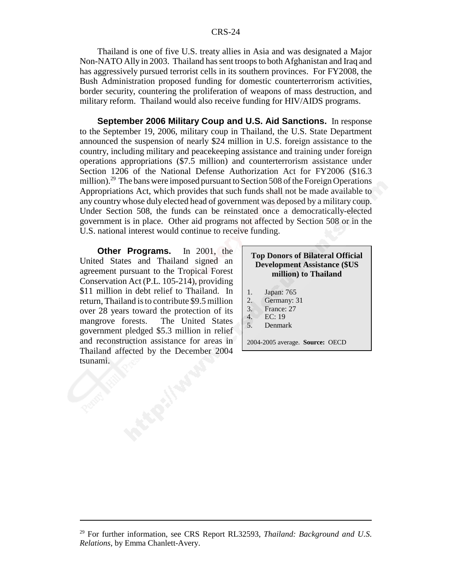#### CRS-24

Thailand is one of five U.S. treaty allies in Asia and was designated a Major Non-NATO Ally in 2003. Thailand has sent troops to both Afghanistan and Iraq and has aggressively pursued terrorist cells in its southern provinces. For FY2008, the Bush Administration proposed funding for domestic counterterrorism activities, border security, countering the proliferation of weapons of mass destruction, and military reform. Thailand would also receive funding for HIV/AIDS programs.

**September 2006 Military Coup and U.S. Aid Sanctions.** In response to the September 19, 2006, military coup in Thailand, the U.S. State Department announced the suspension of nearly \$24 million in U.S. foreign assistance to the country, including military and peacekeeping assistance and training under foreign operations appropriations (\$7.5 million) and counterterrorism assistance under Section 1206 of the National Defense Authorization Act for FY2006 (\$16.3 million).<sup>29</sup> The bans were imposed pursuant to Section 508 of the Foreign Operations Appropriations Act, which provides that such funds shall not be made available to any country whose duly elected head of government was deposed by a military coup. Under Section 508, the funds can be reinstated once a democratically-elected government is in place. Other aid programs not affected by Section 508 or in the U.S. national interest would continue to receive funding.

**Other Programs.** In 2001, the United States and Thailand signed an agreement pursuant to the Tropical Forest Conservation Act (P.L. 105-214), providing \$11 million in debt relief to Thailand. In return, Thailand is to contribute \$9.5 million over 28 years toward the protection of its mangrove forests. The United States government pledged \$5.3 million in relief and reconstruction assistance for areas in Thailand affected by the December 2004 tsunami.

#### **Top Donors of Bilateral Official Development Assistance (\$US million) to Thailand**

- 1. Japan: 765
- 2. Germany: 31
- 3. France: 27
- 4. EC: 19
- 5. Denmark

2004-2005 average. **Source:** OECD

<sup>29</sup> For further information, see CRS Report RL32593, *Thailand: Background and U.S. Relations*, by Emma Chanlett-Avery.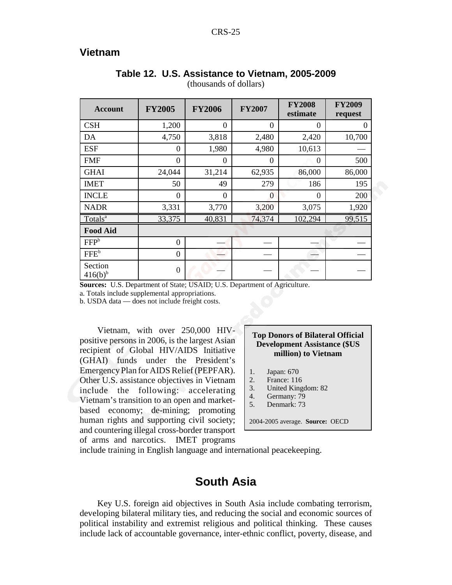## **Vietnam**

| <b>Account</b>          | <b>FY2005</b>  | <b>FY2006</b> | <b>FY2007</b>  | <b>FY2008</b><br>estimate | <b>FY2009</b><br>request |
|-------------------------|----------------|---------------|----------------|---------------------------|--------------------------|
| <b>CSH</b>              | 1,200          | $\theta$      | $\overline{0}$ | $\boldsymbol{0}$          | 0                        |
| DA                      | 4,750          | 3,818         | 2,480          | 2,420                     | 10,700                   |
| <b>ESF</b>              | $\theta$       | 1,980         | 4,980          | 10,613                    |                          |
| <b>FMF</b>              | $\theta$       | $\theta$      | $\Omega$       | $\Omega$                  | 500                      |
| <b>GHAI</b>             | 24,044         | 31,214        | 62,935         | 86,000                    | 86,000                   |
| <b>IMET</b>             | 50             | 49            | 279            | 186                       | 195                      |
| <b>INCLE</b>            | $\theta$       | $\theta$      | $\Omega$       | $\theta$                  | 200                      |
| <b>NADR</b>             | 3,331          | 3,770         | 3,200          | 3,075                     | 1,920                    |
| Totals <sup>a</sup>     | 33,375         | 40,831        | 74,374         | 102,294                   | 99,515                   |
| <b>Food Aid</b>         |                |               |                |                           |                          |
| FFP <sup>b</sup>        | $\overline{0}$ |               |                |                           |                          |
| $FFE^b$                 | $\overline{0}$ |               |                |                           |                          |
| Section<br>$416(b)^{b}$ | $\overline{0}$ |               |                |                           |                          |

## **Table 12. U.S. Assistance to Vietnam, 2005-2009**

(thousands of dollars)

**Sources:** U.S. Department of State; USAID; U.S. Department of Agriculture.

a. Totals include supplemental appropriations.

b. USDA data — does not include freight costs.

Vietnam, with over 250,000 HIVpositive persons in 2006, is the largest Asian recipient of Global HIV/AIDS Initiative (GHAI) funds under the President's Emergency Plan for AIDS Relief (PEPFAR). Other U.S. assistance objectives in Vietnam include the following: accelerating Vietnam's transition to an open and marketbased economy; de-mining; promoting human rights and supporting civil society; and countering illegal cross-border transport of arms and narcotics. IMET programs

#### **Top Donors of Bilateral Official Development Assistance (\$US million) to Vietnam**

- 1. Japan: 670
- 2. France: 116
- 3. United Kingdom: 82
- 4. Germany: 79
- 5. Denmark: 73

2004-2005 average. **Source:** OECD

include training in English language and international peacekeeping.

## **South Asia**

Key U.S. foreign aid objectives in South Asia include combating terrorism, developing bilateral military ties, and reducing the social and economic sources of political instability and extremist religious and political thinking. These causes include lack of accountable governance, inter-ethnic conflict, poverty, disease, and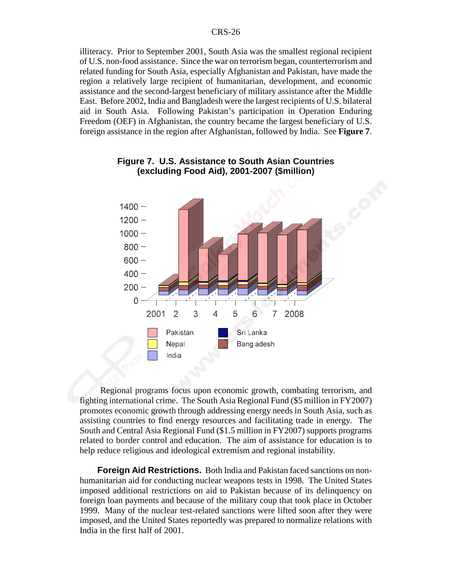illiteracy. Prior to September 2001, South Asia was the smallest regional recipient of U.S. non-food assistance. Since the war on terrorism began, counterterrorism and related funding for South Asia, especially Afghanistan and Pakistan, have made the region a relatively large recipient of humanitarian, development, and economic assistance and the second-largest beneficiary of military assistance after the Middle East. Before 2002, India and Bangladesh were the largest recipients of U.S. bilateral aid in South Asia. Following Pakistan's participation in Operation Enduring Freedom (OEF) in Afghanistan, the country became the largest beneficiary of U.S. foreign assistance in the region after Afghanistan, followed by India. See **Figure 7**.



#### **Figure 7. U.S. Assistance to South Asian Countries (excluding Food Aid), 2001-2007 (\$million)**

 Regional programs focus upon economic growth, combating terrorism, and fighting international crime. The South Asia Regional Fund (\$5 million in FY2007) promotes economic growth through addressing energy needs in South Asia, such as assisting countries to find energy resources and facilitating trade in energy. The South and Central Asia Regional Fund (\$1.5 million in FY2007) supports programs related to border control and education. The aim of assistance for education is to help reduce religious and ideological extremism and regional instability.

**Foreign Aid Restrictions.** Both India and Pakistan faced sanctions on nonhumanitarian aid for conducting nuclear weapons tests in 1998. The United States imposed additional restrictions on aid to Pakistan because of its delinquency on foreign loan payments and because of the military coup that took place in October 1999. Many of the nuclear test-related sanctions were lifted soon after they were imposed, and the United States reportedly was prepared to normalize relations with India in the first half of 2001.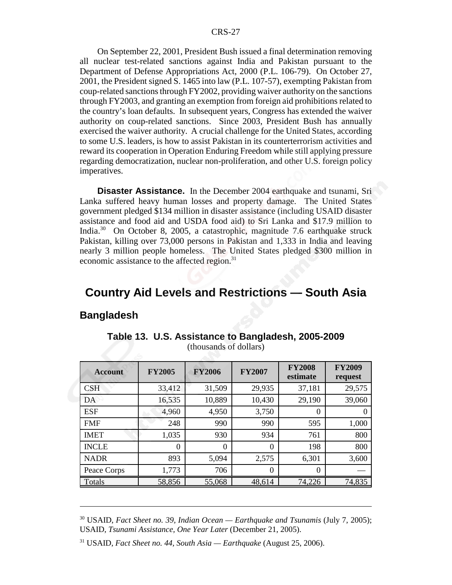On September 22, 2001, President Bush issued a final determination removing all nuclear test-related sanctions against India and Pakistan pursuant to the Department of Defense Appropriations Act, 2000 (P.L. 106-79). On October 27, 2001, the President signed S. 1465 into law (P.L. 107-57), exempting Pakistan from coup-related sanctions through FY2002, providing waiver authority on the sanctions through FY2003, and granting an exemption from foreign aid prohibitions related to the country's loan defaults. In subsequent years, Congress has extended the waiver authority on coup-related sanctions. Since 2003, President Bush has annually exercised the waiver authority. A crucial challenge for the United States, according to some U.S. leaders, is how to assist Pakistan in its counterterrorism activities and reward its cooperation in Operation Enduring Freedom while still applying pressure regarding democratization, nuclear non-proliferation, and other U.S. foreign policy imperatives.

**Disaster Assistance.** In the December 2004 earthquake and tsunami, Sri Lanka suffered heavy human losses and property damage. The United States government pledged \$134 million in disaster assistance (including USAID disaster assistance and food aid and USDA food aid) to Sri Lanka and \$17.9 million to India.30 On October 8, 2005, a catastrophic, magnitude 7.6 earthquake struck Pakistan, killing over 73,000 persons in Pakistan and 1,333 in India and leaving nearly 3 million people homeless. The United States pledged \$300 million in economic assistance to the affected region.<sup>31</sup>

## **Country Aid Levels and Restrictions — South Asia**

## **Bangladesh**

| <b>Account</b> | <b>FY2005</b> | <b>FY2006</b> | <b>FY2007</b> | <b>FY2008</b><br>estimate | <b>FY2009</b><br>request |
|----------------|---------------|---------------|---------------|---------------------------|--------------------------|
| <b>CSH</b>     | 33,412        | 31,509        | 29,935        | 37,181                    | 29,575                   |
| DA             | 16,535        | 10,889        | 10,430        | 29,190                    | 39,060                   |
| <b>ESF</b>     | 4,960         | 4,950         | 3,750         | $\Omega$                  |                          |
| <b>FMF</b>     | 248           | 990           | 990           | 595                       | 1,000                    |
| <b>IMET</b>    | 1,035         | 930           | 934           | 761                       | 800                      |
| <b>INCLE</b>   | $\Omega$      | $\Omega$      | $\Omega$      | 198                       | 800                      |
| <b>NADR</b>    | 893           | 5,094         | 2,575         | 6,301                     | 3,600                    |
| Peace Corps    | 1,773         | 706           | 0             | $\Omega$                  |                          |
| Totals         | 58,856        | 55,068        | 48,614        | 74,226                    | 74,835                   |

#### **Table 13. U.S. Assistance to Bangladesh, 2005-2009** (thousands of dollars)

<sup>30</sup> USAID, *Fact Sheet no. 39, Indian Ocean — Earthquake and Tsunamis* (July 7, 2005); USAID, *Tsunami Assistance, One Year Later* (December 21, 2005).

<sup>31</sup> USAID, *Fact Sheet no. 44, South Asia — Earthquake* (August 25, 2006).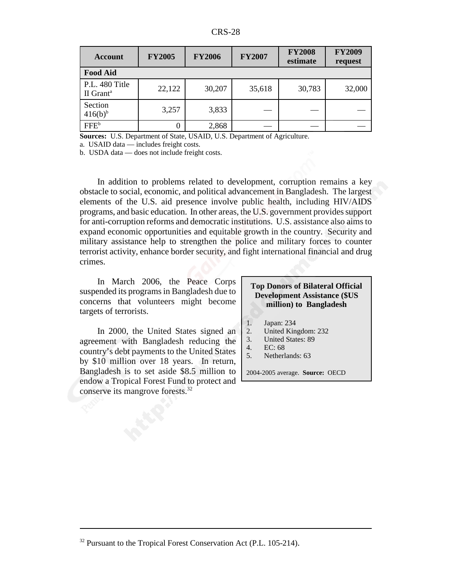| Account                                 | <b>FY2005</b> | <b>FY2006</b> | <b>FY2007</b> | <b>FY2008</b><br>estimate | <b>FY2009</b><br>request |  |  |
|-----------------------------------------|---------------|---------------|---------------|---------------------------|--------------------------|--|--|
| <b>Food Aid</b>                         |               |               |               |                           |                          |  |  |
| P.L. 480 Title<br>II Grant <sup>a</sup> | 22,122        | 30,207        | 35,618        | 30,783                    | 32,000                   |  |  |
| Section<br>$416(b)^{b}$                 | 3,257         | 3,833         |               |                           |                          |  |  |
| FFE <sup>b</sup>                        | 0             | 2,868         |               |                           |                          |  |  |

**Sources:** U.S. Department of State, USAID, U.S. Department of Agriculture.

a. USAID data — includes freight costs.

b. USDA data — does not include freight costs.

In addition to problems related to development, corruption remains a key obstacle to social, economic, and political advancement in Bangladesh. The largest elements of the U.S. aid presence involve public health, including HIV/AIDS programs, and basic education. In other areas, the U.S. government provides support for anti-corruption reforms and democratic institutions. U.S. assistance also aims to expand economic opportunities and equitable growth in the country. Security and military assistance help to strengthen the police and military forces to counter terrorist activity, enhance border security, and fight international financial and drug crimes.

In March 2006, the Peace Corps suspended its programs in Bangladesh due to concerns that volunteers might become targets of terrorists.

In 2000, the United States signed an agreement with Bangladesh reducing the country's debt payments to the United States by \$10 million over 18 years. In return, Bangladesh is to set aside \$8.5 million to endow a Tropical Forest Fund to protect and conserve its mangrove forests.32

#### **Top Donors of Bilateral Official Development Assistance (\$US million) to Bangladesh**

- 1. Japan: 234<br>2. United Kin
- 2. United Kingdom: 232
- 3. United States: 89
- 4. EC: 68
- 5. Netherlands: 63

2004-2005 average. **Source:** OECD

<sup>&</sup>lt;sup>32</sup> Pursuant to the Tropical Forest Conservation Act (P.L. 105-214).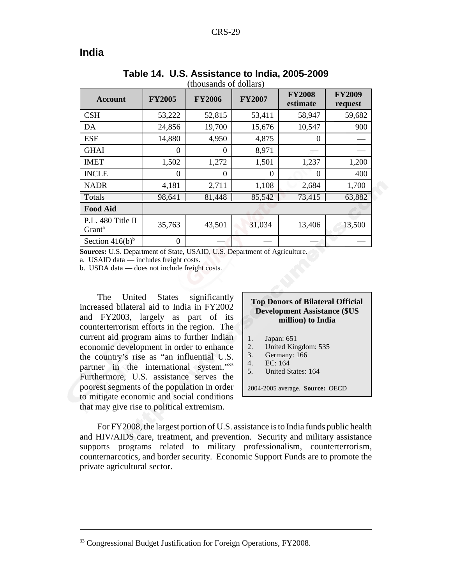## **India**

| <b>Account</b>                          | <b>FY2005</b> | <b>FY2006</b> | <b>FY2007</b> | <b>FY2008</b><br>estimate | <b>FY2009</b><br>request |
|-----------------------------------------|---------------|---------------|---------------|---------------------------|--------------------------|
| <b>CSH</b>                              | 53,222        | 52,815        | 53,411        | 58,947                    | 59,682                   |
| DA                                      | 24,856        | 19,700        | 15,676        | 10,547                    | 900                      |
| <b>ESF</b>                              | 14,880        | 4,950         | 4,875         | $\Omega$                  |                          |
| <b>GHAI</b>                             | $\theta$      | $\Omega$      | 8,971         |                           |                          |
| <b>IMET</b>                             | 1,502         | 1,272         | 1,501         | 1,237                     | 1,200                    |
| <b>INCLE</b>                            | $\Omega$      | 0             | $\theta$      | $\Omega$                  | 400                      |
| <b>NADR</b>                             | 4,181         | 2,711         | 1,108         | 2,684                     | 1,700                    |
| Totals                                  | 98,641        | 81,448        | 85,542        | 73,415                    | 63,882                   |
| <b>Food Aid</b>                         |               |               |               |                           |                          |
| P.L. 480 Title II<br>Grant <sup>a</sup> | 35,763        | 43,501        | 31,034        | 13,406                    | 13,500                   |
| Section $416(b)^b$                      | 0             |               |               |                           |                          |

#### **Table 14. U.S. Assistance to India, 2005-2009** (thousands of dollars)

**Sources:** U.S. Department of State, USAID, U.S. Department of Agriculture.

a. USAID data — includes freight costs.

b. USDA data — does not include freight costs.

The United States significantly increased bilateral aid to India in FY2002 and FY2003, largely as part of its counterterrorism efforts in the region. The current aid program aims to further Indian economic development in order to enhance the country's rise as "an influential U.S. partner in the international system."33 Furthermore, U.S. assistance serves the poorest segments of the population in order to mitigate economic and social conditions that may give rise to political extremism.

#### **Top Donors of Bilateral Official Development Assistance (\$US million) to India**

- 1. Japan: 651
- 2. United Kingdom: 535
- 3. Germany: 166
- 4. EC: 164
- 5. United States: 164

2004-2005 average. **Source:** OECD

For FY2008, the largest portion of U.S. assistance is to India funds public health and HIV/AIDS care, treatment, and prevention. Security and military assistance supports programs related to military professionalism, counterterrorism, counternarcotics, and border security. Economic Support Funds are to promote the private agricultural sector.

<sup>&</sup>lt;sup>33</sup> Congressional Budget Justification for Foreign Operations, FY2008.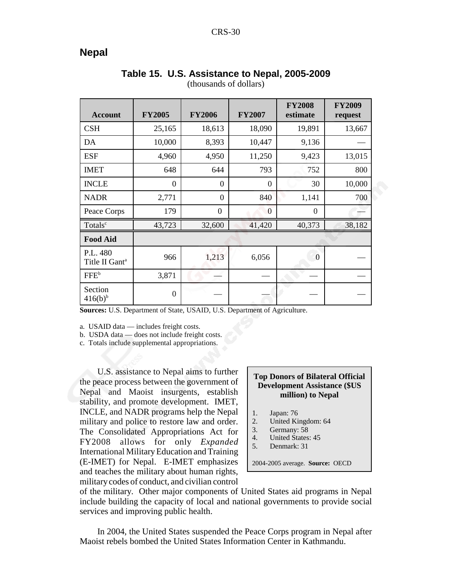## **Nepal**

| <b>Account</b>                         | <b>FY2005</b>    | <b>FY2006</b>  | <b>FY2007</b>  | <b>FY2008</b><br>estimate | <b>FY2009</b><br>request |
|----------------------------------------|------------------|----------------|----------------|---------------------------|--------------------------|
| <b>CSH</b>                             | 25,165           | 18,613         | 18,090         | 19,891                    | 13,667                   |
| DA                                     | 10,000           | 8,393          | 10,447         | 9,136                     |                          |
| <b>ESF</b>                             | 4,960            | 4,950          | 11,250         | 9,423                     | 13,015                   |
| <b>IMET</b>                            | 648              | 644            | 793            | 752                       | 800                      |
| <b>INCLE</b>                           | $\overline{0}$   | $\overline{0}$ | $\theta$       | 30                        | 10,000                   |
| <b>NADR</b>                            | 2,771            | $\overline{0}$ | 840            | 1,141                     | 700                      |
| Peace Corps                            | 179              | $\overline{0}$ | $\overline{0}$ | $\boldsymbol{0}$          |                          |
| Totals <sup>c</sup>                    | 43,723           | 32,600         | 41,420         | 40,373                    | 38,182                   |
| <b>Food Aid</b>                        |                  |                |                |                           |                          |
| P.L. 480<br>Title II Gant <sup>a</sup> | 966              | 1,213          | 6,056          | $\overline{0}$            |                          |
| FFE <sup>b</sup>                       | 3,871            |                |                |                           |                          |
| Section<br>$416(b)^{b}$                | $\boldsymbol{0}$ |                |                |                           |                          |

#### **Table 15. U.S. Assistance to Nepal, 2005-2009** (thousands of dollars)

**Sources:** U.S. Department of State, USAID, U.S. Department of Agriculture.

a. USAID data — includes freight costs.

b. USDA data — does not include freight costs.

c. Totals include supplemental appropriations.

U.S. assistance to Nepal aims to further the peace process between the government of Nepal and Maoist insurgents, establish stability, and promote development. IMET, INCLE, and NADR programs help the Nepal military and police to restore law and order. The Consolidated Appropriations Act for FY2008 allows for only *Expanded* International Military Education and Training (E-IMET) for Nepal. E-IMET emphasizes and teaches the military about human rights, military codes of conduct, and civilian control

#### **Top Donors of Bilateral Official Development Assistance (\$US million) to Nepal**

- 1. Japan: 76
- 2. United Kingdom: 64
- 3. Germany: 58
- 4. United States: 45
- 5. Denmark: 31

2004-2005 average. **Source:** OECD

of the military. Other major components of United States aid programs in Nepal include building the capacity of local and national governments to provide social services and improving public health.

In 2004, the United States suspended the Peace Corps program in Nepal after Maoist rebels bombed the United States Information Center in Kathmandu.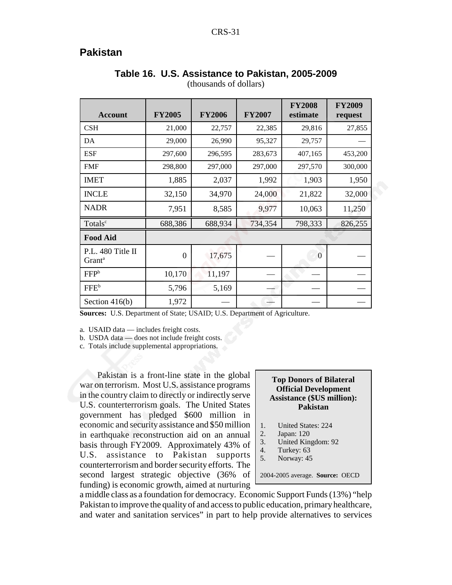## **Pakistan**

| <b>Account</b>                          | <b>FY2005</b>  | <b>FY2006</b> | <b>FY2007</b> | <b>FY2008</b><br>estimate | <b>FY2009</b><br>request |
|-----------------------------------------|----------------|---------------|---------------|---------------------------|--------------------------|
| <b>CSH</b>                              | 21,000         | 22,757        | 22,385        | 29,816                    | 27,855                   |
| DA                                      | 29,000         | 26,990        | 95,327        | 29,757                    |                          |
| <b>ESF</b>                              | 297,600        | 296,595       | 283,673       | 407,165                   | 453,200                  |
| <b>FMF</b>                              | 298,800        | 297,000       | 297,000       | 297,570                   | 300,000                  |
| <b>IMET</b>                             | 1,885          | 2,037         | 1,992         | 1,903                     | 1,950                    |
| <b>INCLE</b>                            | 32,150         | 34,970        | 24,000        | 21,822                    | 32,000                   |
| <b>NADR</b>                             | 7,951          | 8,585         | 9,977         | 10,063                    | 11,250                   |
| Totals <sup>c</sup>                     | 688,386        | 688,934       | 734,354       | 798,333                   | 826,255                  |
| <b>Food Aid</b>                         |                |               |               |                           |                          |
| P.L. 480 Title II<br>Grant <sup>a</sup> | $\overline{0}$ | 17,675        |               | $\Omega$                  |                          |
| FFP <sup>b</sup>                        | 10,170         | 11,197        |               |                           |                          |
| FFE <sup>b</sup>                        | 5,796          | 5,169         |               |                           |                          |
| Section $416(b)$                        | 1,972          |               |               |                           |                          |

## **Table 16. U.S. Assistance to Pakistan, 2005-2009**

(thousands of dollars)

**Sources:** U.S. Department of State; USAID; U.S. Department of Agriculture.

a. USAID data — includes freight costs.

b. USDA data — does not include freight costs.

c. Totals include supplemental appropriations.

Pakistan is a front-line state in the global war on terrorism. Most U.S. assistance programs in the country claim to directly or indirectly serve U.S. counterterrorism goals. The United States government has pledged \$600 million in economic and security assistance and \$50 million in earthquake reconstruction aid on an annual basis through FY2009. Approximately 43% of U.S. assistance to Pakistan supports counterterrorism and border security efforts. The second largest strategic objective (36% of funding) is economic growth, aimed at nurturing

#### **Top Donors of Bilateral Official Development Assistance (\$US million): Pakistan**

- 1. United States: 224
- 2. Japan: 120
- 3. United Kingdom: 92
- 4. Turkey: 63
- 5. Norway: 45

2004-2005 average. **Source:** OECD

a middle class as a foundation for democracy. Economic Support Funds (13%) "help Pakistan to improve the quality of and access to public education, primary healthcare, and water and sanitation services" in part to help provide alternatives to services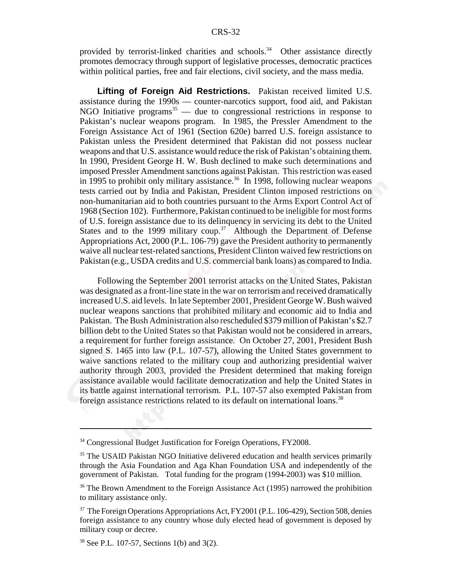provided by terrorist-linked charities and schools.<sup>34</sup> Other assistance directly promotes democracy through support of legislative processes, democratic practices within political parties, free and fair elections, civil society, and the mass media.

**Lifting of Foreign Aid Restrictions.** Pakistan received limited U.S. assistance during the 1990s — counter-narcotics support, food aid, and Pakistan NGO Initiative programs<sup>35</sup> — due to congressional restrictions in response to Pakistan's nuclear weapons program. In 1985, the Pressler Amendment to the Foreign Assistance Act of 1961 (Section 620e) barred U.S. foreign assistance to Pakistan unless the President determined that Pakistan did not possess nuclear weapons and that U.S. assistance would reduce the risk of Pakistan's obtaining them. In 1990, President George H. W. Bush declined to make such determinations and imposed Pressler Amendment sanctions against Pakistan. This restriction was eased in 1995 to prohibit only military assistance.<sup>36</sup> In 1998, following nuclear weapons tests carried out by India and Pakistan, President Clinton imposed restrictions on non-humanitarian aid to both countries pursuant to the Arms Export Control Act of 1968 (Section 102). Furthermore, Pakistan continued to be ineligible for most forms of U.S. foreign assistance due to its delinquency in servicing its debt to the United States and to the 1999 military coup.<sup>37</sup> Although the Department of Defense Appropriations Act, 2000 (P.L. 106-79) gave the President authority to permanently waive all nuclear test-related sanctions, President Clinton waived few restrictions on Pakistan (e.g., USDA credits and U.S. commercial bank loans) as compared to India.

Following the September 2001 terrorist attacks on the United States, Pakistan was designated as a front-line state in the war on terrorism and received dramatically increased U.S. aid levels. In late September 2001, President George W. Bush waived nuclear weapons sanctions that prohibited military and economic aid to India and Pakistan. The Bush Administration also rescheduled \$379 million of Pakistan's \$2.7 billion debt to the United States so that Pakistan would not be considered in arrears, a requirement for further foreign assistance. On October 27, 2001, President Bush signed S. 1465 into law (P.L. 107-57), allowing the United States government to waive sanctions related to the military coup and authorizing presidential waiver authority through 2003, provided the President determined that making foreign assistance available would facilitate democratization and help the United States in its battle against international terrorism. P.L. 107-57 also exempted Pakistan from foreign assistance restrictions related to its default on international loans.<sup>38</sup>

<sup>&</sup>lt;sup>34</sup> Congressional Budget Justification for Foreign Operations, FY2008.

<sup>&</sup>lt;sup>35</sup> The USAID Pakistan NGO Initiative delivered education and health services primarily through the Asia Foundation and Aga Khan Foundation USA and independently of the government of Pakistan. Total funding for the program (1994-2003) was \$10 million.

<sup>&</sup>lt;sup>36</sup> The Brown Amendment to the Foreign Assistance Act (1995) narrowed the prohibition to military assistance only.

<sup>&</sup>lt;sup>37</sup> The Foreign Operations Appropriations Act, FY2001 (P.L. 106-429), Section 508, denies foreign assistance to any country whose duly elected head of government is deposed by military coup or decree.

<sup>38</sup> See P.L. 107-57, Sections 1(b) and 3(2).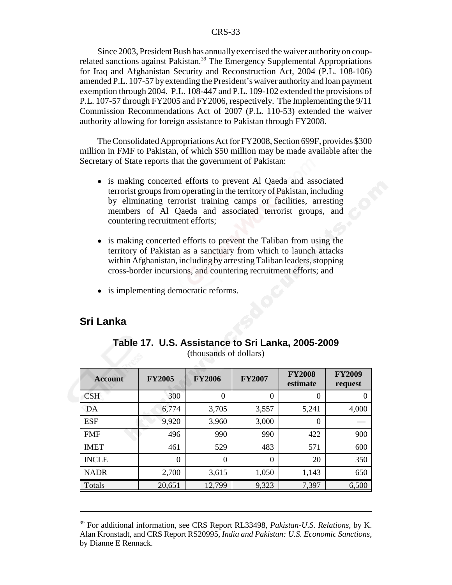#### CRS-33

Since 2003, President Bush has annually exercised the waiver authority on couprelated sanctions against Pakistan.<sup>39</sup> The Emergency Supplemental Appropriations for Iraq and Afghanistan Security and Reconstruction Act, 2004 (P.L. 108-106) amended P.L. 107-57 by extending the President's waiver authority and loan payment exemption through 2004. P.L. 108-447 and P.L. 109-102 extended the provisions of P.L. 107-57 through FY2005 and FY2006, respectively. The Implementing the 9/11 Commission Recommendations Act of 2007 (P.L. 110-53) extended the waiver authority allowing for foreign assistance to Pakistan through FY2008.

The Consolidated Appropriations Act for FY2008, Section 699F, provides \$300 million in FMF to Pakistan, of which \$50 million may be made available after the Secretary of State reports that the government of Pakistan:

- is making concerted efforts to prevent Al Qaeda and associated terrorist groups from operating in the territory of Pakistan, including by eliminating terrorist training camps or facilities, arresting members of Al Qaeda and associated terrorist groups, and countering recruitment efforts;
- is making concerted efforts to prevent the Taliban from using the territory of Pakistan as a sanctuary from which to launch attacks within Afghanistan, including by arresting Taliban leaders, stopping cross-border incursions, and countering recruitment efforts; and
- is implementing democratic reforms.

## **Sri Lanka**

| <b>Account</b> | <b>FY2005</b> | <b>FY2006</b>    | <b>FY2007</b> | <b>FY2008</b><br>estimate | <b>FY2009</b><br>request |
|----------------|---------------|------------------|---------------|---------------------------|--------------------------|
| <b>CSH</b>     | 300           | $\boldsymbol{0}$ | 0             | $\Omega$                  |                          |
| DA             | 6,774         | 3,705            | 3,557         | 5,241                     | 4,000                    |
| <b>ESF</b>     | 9,920         | 3,960            | 3,000         | $\theta$                  |                          |
| <b>FMF</b>     | 496           | 990              | 990           | 422                       | 900                      |
| <b>IMET</b>    | 461           | 529              | 483           | 571                       | 600                      |
| <b>INCLE</b>   | 0             | $\Omega$         | $\Omega$      | 20                        | 350                      |
| <b>NADR</b>    | 2,700         | 3,615            | 1,050         | 1,143                     | 650                      |
| Totals         | 20,651        | 12,799           | 9,323         | 7,397                     | 6,500                    |

**Table 17. U.S. Assistance to Sri Lanka, 2005-2009** (thousands of dollars)

<sup>39</sup> For additional information, see CRS Report RL33498, *Pakistan-U.S. Relations*, by K. Alan Kronstadt, and CRS Report RS20995, *India and Pakistan: U.S. Economic Sanctions*, by Dianne E Rennack.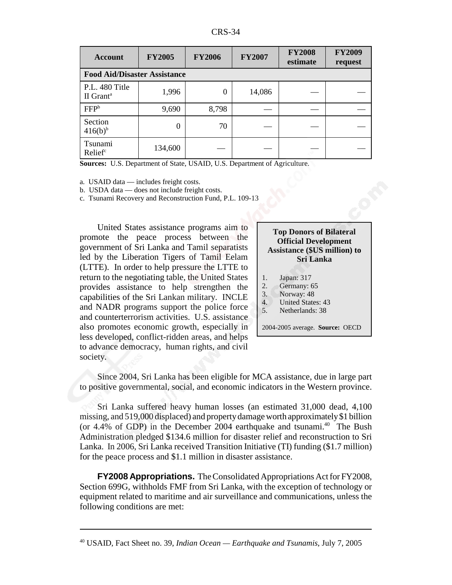| D١<br>L.<br>.K.S. |
|-------------------|
|-------------------|

| <b>Account</b>                          | <b>FY2005</b> | <b>FY2006</b> | <b>FY2007</b> | <b>FY2008</b><br>estimate | <b>FY2009</b><br>request |  |  |
|-----------------------------------------|---------------|---------------|---------------|---------------------------|--------------------------|--|--|
| <b>Food Aid/Disaster Assistance</b>     |               |               |               |                           |                          |  |  |
| P.L. 480 Title<br>II Grant <sup>a</sup> | 1,996         | 0             | 14,086        |                           |                          |  |  |
| FFP <sup>b</sup>                        | 9,690         | 8,798         |               |                           |                          |  |  |
| Section<br>$416(b)^{b}$                 | $\Omega$      | 70            |               |                           |                          |  |  |
| Tsunami<br>Relief                       | 134,600       |               |               |                           |                          |  |  |

**Sources:** U.S. Department of State, USAID, U.S. Department of Agriculture.

a. USAID data — includes freight costs.

b. USDA data — does not include freight costs.

c. Tsunami Recovery and Reconstruction Fund, P.L. 109-13

United States assistance programs aim to promote the peace process between the government of Sri Lanka and Tamil separatists led by the Liberation Tigers of Tamil Eelam (LTTE). In order to help pressure the LTTE to return to the negotiating table, the United States provides assistance to help strengthen the capabilities of the Sri Lankan military. INCLE and NADR programs support the police force and counterterrorism activities. U.S. assistance also promotes economic growth, especially in less developed, conflict-ridden areas, and helps to advance democracy, human rights, and civil society.

| <b>Top Donors of Bilateral</b>      |
|-------------------------------------|
| <b>Official Development</b>         |
| <b>Assistance (\$US million) to</b> |
| Sri Lanka                           |

- 1. Japan: 317
- 2. Germany: 65
- 3. Norway: 48
- 4. United States: 43
- 5. Netherlands: 38

2004-2005 average. **Source:** OECD

Since 2004, Sri Lanka has been eligible for MCA assistance, due in large part to positive governmental, social, and economic indicators in the Western province.

Sri Lanka suffered heavy human losses (an estimated 31,000 dead, 4,100 missing, and 519,000 displaced) and property damage worth approximately \$1 billion (or  $4.4\%$  of GDP) in the December 2004 earthquake and tsunami.<sup>40</sup> The Bush Administration pledged \$134.6 million for disaster relief and reconstruction to Sri Lanka. In 2006, Sri Lanka received Transition Initiative (TI) funding (\$1.7 million) for the peace process and \$1.1 million in disaster assistance.

**FY2008 Appropriations.** The Consolidated Appropriations Act for FY2008, Section 699G, withholds FMF from Sri Lanka, with the exception of technology or equipment related to maritime and air surveillance and communications, unless the following conditions are met:

<sup>40</sup> USAID, Fact Sheet no. 39, *Indian Ocean — Earthquake and Tsunamis*, July 7, 2005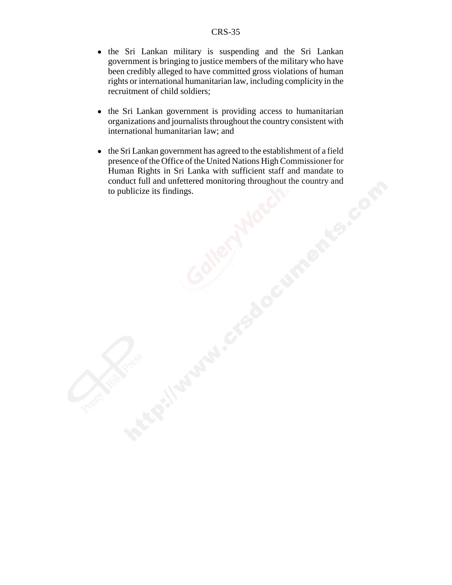- the Sri Lankan military is suspending and the Sri Lankan government is bringing to justice members of the military who have been credibly alleged to have committed gross violations of human rights or international humanitarian law, including complicity in the recruitment of child soldiers;
- the Sri Lankan government is providing access to humanitarian organizations and journalists throughout the country consistent with international humanitarian law; and
- the Sri Lankan government has agreed to the establishment of a field presence of the Office of the United Nations High Commissioner for Human Rights in Sri Lanka with sufficient staff and mandate to conduct full and unfettered monitoring throughout the country and to publicize its findings.